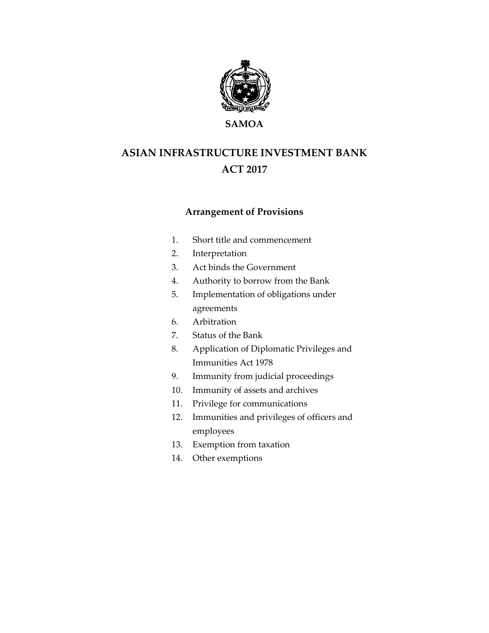

**SAMOA**

# **ASIAN INFRASTRUCTURE INVESTMENT BANK ACT 2017**

# **Arrangement of Provisions**

- 1. Short title and commencement
- 2. Interpretation
- 3. Act binds the Government
- 4. Authority to borrow from the Bank
- 5. Implementation of obligations under agreements
- 6. Arbitration
- 7. Status of the Bank
- 8. Application of Diplomatic Privileges and Immunities Act 1978
- 9. Immunity from judicial proceedings
- 10. Immunity of assets and archives
- 11. Privilege for communications
- 12. Immunities and privileges of officers and employees
- 13. Exemption from taxation
- 14. Other exemptions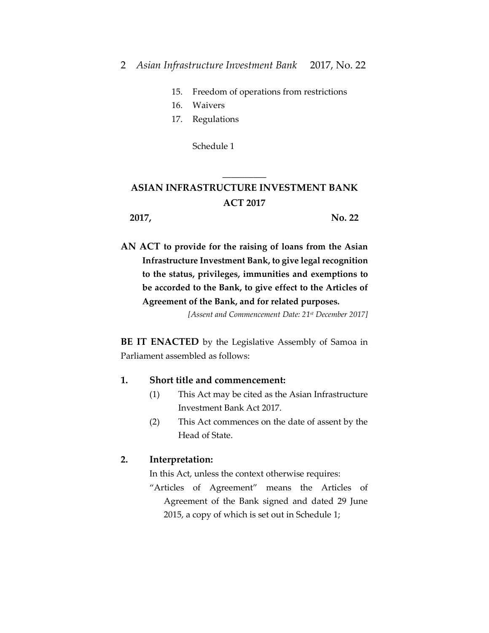- 15. Freedom of operations from restrictions
- 16. Waivers
- 17. Regulations

Schedule 1

# **ASIAN INFRASTRUCTURE INVESTMENT BANK ACT 2017**

\_\_\_\_\_\_\_\_\_\_

**2017, No. 22**

**AN ACT to provide for the raising of loans from the Asian Infrastructure Investment Bank, to give legal recognition to the status, privileges, immunities and exemptions to be accorded to the Bank, to give effect to the Articles of Agreement of the Bank, and for related purposes.**

*[Assent and Commencement Date: 21st December 2017]*

**BE IT ENACTED** by the Legislative Assembly of Samoa in Parliament assembled as follows:

### **1. Short title and commencement:**

- (1) This Act may be cited as the Asian Infrastructure Investment Bank Act 2017.
- (2) This Act commences on the date of assent by the Head of State.

### **2. Interpretation:**

In this Act, unless the context otherwise requires:

"Articles of Agreement" means the Articles of Agreement of the Bank signed and dated 29 June 2015, a copy of which is set out in Schedule 1;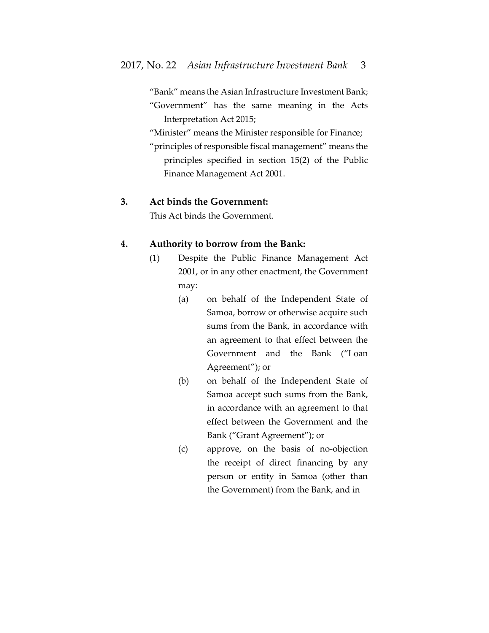"Bank" means the Asian Infrastructure Investment Bank; "Government" has the same meaning in the Acts Interpretation Act 2015;

"Minister" means the Minister responsible for Finance;

"principles of responsible fiscal management" means the principles specified in section 15(2) of the Public Finance Management Act 2001.

## **3. Act binds the Government:**

This Act binds the Government.

## **4. Authority to borrow from the Bank:**

- (1) Despite the Public Finance Management Act 2001, or in any other enactment, the Government may:
	- (a) on behalf of the Independent State of Samoa, borrow or otherwise acquire such sums from the Bank, in accordance with an agreement to that effect between the Government and the Bank ("Loan Agreement"); or
	- (b) on behalf of the Independent State of Samoa accept such sums from the Bank, in accordance with an agreement to that effect between the Government and the Bank ("Grant Agreement"); or
	- (c) approve, on the basis of no-objection the receipt of direct financing by any person or entity in Samoa (other than the Government) from the Bank, and in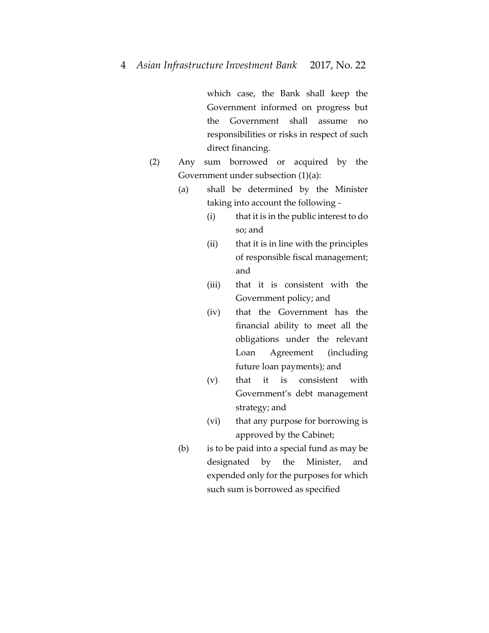which case, the Bank shall keep the Government informed on progress but the Government shall assume no responsibilities or risks in respect of such direct financing.

- (2) Any sum borrowed or acquired by the Government under subsection (1)(a):
	- (a) shall be determined by the Minister taking into account the following -
		- (i) that it is in the public interest to do so; and
		- (ii) that it is in line with the principles of responsible fiscal management; and
		- (iii) that it is consistent with the Government policy; and
		- (iv) that the Government has the financial ability to meet all the obligations under the relevant Loan Agreement (including future loan payments); and
		- (v) that it is consistent with Government's debt management strategy; and
		- (vi) that any purpose for borrowing is approved by the Cabinet;
	- (b) is to be paid into a special fund as may be designated by the Minister, and expended only for the purposes for which such sum is borrowed as specified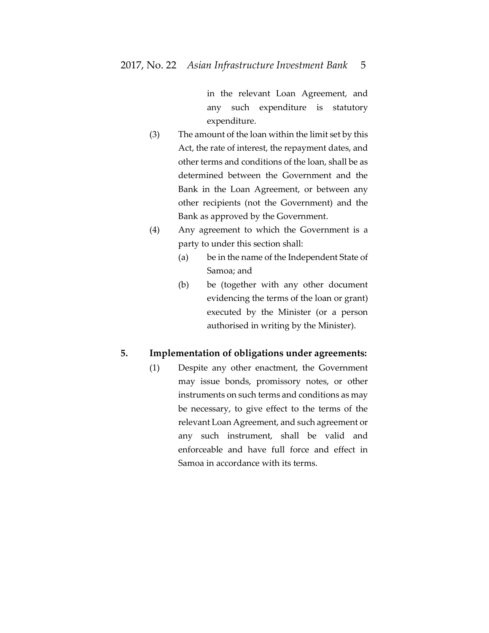in the relevant Loan Agreement, and any such expenditure is statutory expenditure.

- (3) The amount of the loan within the limit set by this Act, the rate of interest, the repayment dates, and other terms and conditions of the loan, shall be as determined between the Government and the Bank in the Loan Agreement, or between any other recipients (not the Government) and the Bank as approved by the Government.
- (4) Any agreement to which the Government is a party to under this section shall:
	- (a) be in the name of the Independent State of Samoa; and
	- (b) be (together with any other document evidencing the terms of the loan or grant) executed by the Minister (or a person authorised in writing by the Minister).

# **5. Implementation of obligations under agreements:**

(1) Despite any other enactment, the Government may issue bonds, promissory notes, or other instruments on such terms and conditions as may be necessary, to give effect to the terms of the relevant Loan Agreement, and such agreement or any such instrument, shall be valid and enforceable and have full force and effect in Samoa in accordance with its terms.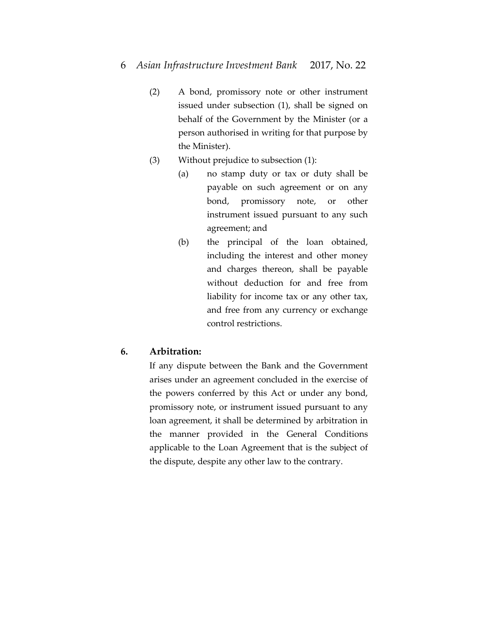- 6 *Asian Infrastructure Investment Bank* 2017, No. 22
	- (2) A bond, promissory note or other instrument issued under subsection (1), shall be signed on behalf of the Government by the Minister (or a person authorised in writing for that purpose by the Minister).
	- (3) Without prejudice to subsection (1):
		- (a) no stamp duty or tax or duty shall be payable on such agreement or on any bond, promissory note, or other instrument issued pursuant to any such agreement; and
		- (b) the principal of the loan obtained, including the interest and other money and charges thereon, shall be payable without deduction for and free from liability for income tax or any other tax, and free from any currency or exchange control restrictions.

# **6. Arbitration:**

If any dispute between the Bank and the Government arises under an agreement concluded in the exercise of the powers conferred by this Act or under any bond, promissory note, or instrument issued pursuant to any loan agreement, it shall be determined by arbitration in the manner provided in the General Conditions applicable to the Loan Agreement that is the subject of the dispute, despite any other law to the contrary.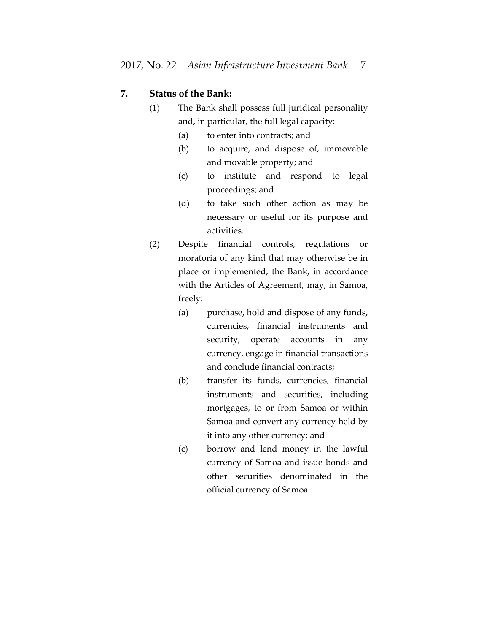# **7. Status of the Bank:**

- (1) The Bank shall possess full juridical personality and, in particular, the full legal capacity:
	- (a) to enter into contracts; and
	- (b) to acquire, and dispose of, immovable and movable property; and
	- (c) to institute and respond to legal proceedings; and
	- (d) to take such other action as may be necessary or useful for its purpose and activities.
- (2) Despite financial controls, regulations or moratoria of any kind that may otherwise be in place or implemented, the Bank, in accordance with the Articles of Agreement, may, in Samoa, freely:
	- (a) purchase, hold and dispose of any funds, currencies, financial instruments and security, operate accounts in any currency, engage in financial transactions and conclude financial contracts;
	- (b) transfer its funds, currencies, financial instruments and securities, including mortgages, to or from Samoa or within Samoa and convert any currency held by it into any other currency; and
	- (c) borrow and lend money in the lawful currency of Samoa and issue bonds and other securities denominated in the official currency of Samoa.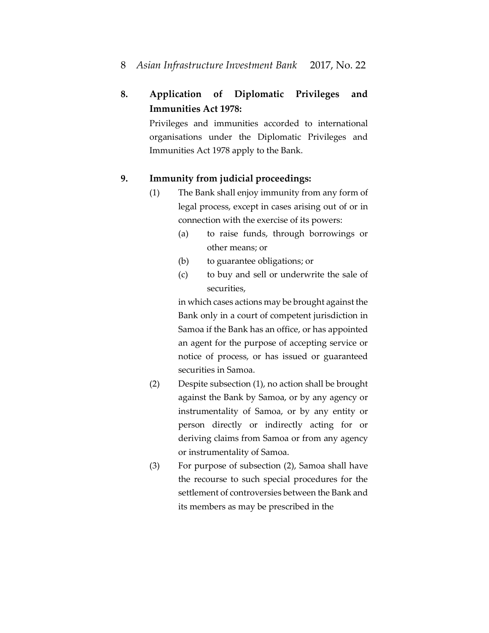# 8 *Asian Infrastructure Investment Bank* 2017, No. 22

# **8. Application of Diplomatic Privileges and Immunities Act 1978:**

Privileges and immunities accorded to international organisations under the Diplomatic Privileges and Immunities Act 1978 apply to the Bank.

# **9. Immunity from judicial proceedings:**

- (1) The Bank shall enjoy immunity from any form of legal process, except in cases arising out of or in connection with the exercise of its powers:
	- (a) to raise funds, through borrowings or other means; or
	- (b) to guarantee obligations; or
	- (c) to buy and sell or underwrite the sale of securities,

in which cases actions may be brought against the Bank only in a court of competent jurisdiction in Samoa if the Bank has an office, or has appointed an agent for the purpose of accepting service or notice of process, or has issued or guaranteed securities in Samoa.

- (2) Despite subsection (1), no action shall be brought against the Bank by Samoa, or by any agency or instrumentality of Samoa, or by any entity or person directly or indirectly acting for or deriving claims from Samoa or from any agency or instrumentality of Samoa.
- (3) For purpose of subsection (2), Samoa shall have the recourse to such special procedures for the settlement of controversies between the Bank and its members as may be prescribed in the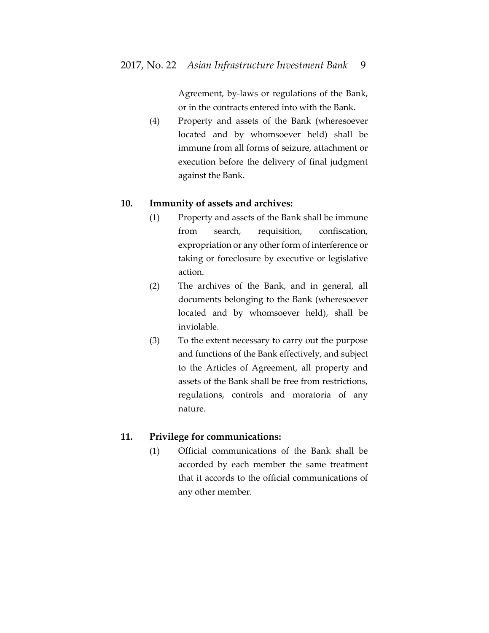Agreement, by-laws or regulations of the Bank, or in the contracts entered into with the Bank.

(4) Property and assets of the Bank (wheresoever located and by whomsoever held) shall be immune from all forms of seizure, attachment or execution before the delivery of final judgment against the Bank.

### **10. Immunity of assets and archives:**

- (1) Property and assets of the Bank shall be immune from search, requisition, confiscation, expropriation or any other form of interference or taking or foreclosure by executive or legislative action.
- (2) The archives of the Bank, and in general, all documents belonging to the Bank (wheresoever located and by whomsoever held), shall be inviolable.
- (3) To the extent necessary to carry out the purpose and functions of the Bank effectively, and subject to the Articles of Agreement, all property and assets of the Bank shall be free from restrictions, regulations, controls and moratoria of any nature.

### **11. Privilege for communications:**

(1) Official communications of the Bank shall be accorded by each member the same treatment that it accords to the official communications of any other member.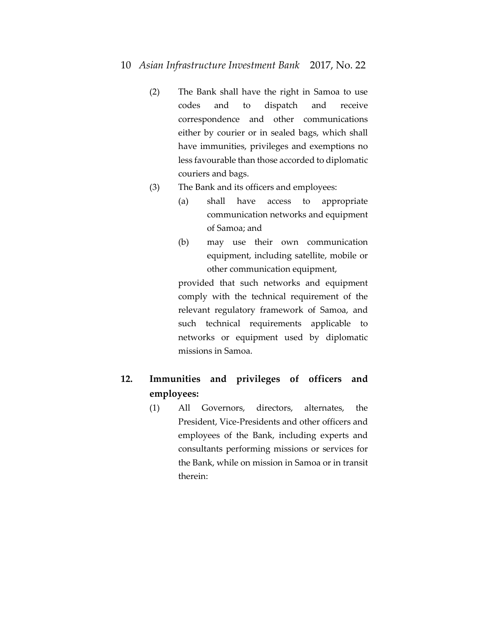# 10 *Asian Infrastructure Investment Bank* 2017, No. 22

- (2) The Bank shall have the right in Samoa to use codes and to dispatch and receive correspondence and other communications either by courier or in sealed bags, which shall have immunities, privileges and exemptions no less favourable than those accorded to diplomatic couriers and bags.
- (3) The Bank and its officers and employees:
	- (a) shall have access to appropriate communication networks and equipment of Samoa; and
	- (b) may use their own communication equipment, including satellite, mobile or other communication equipment,

provided that such networks and equipment comply with the technical requirement of the relevant regulatory framework of Samoa, and such technical requirements applicable to networks or equipment used by diplomatic missions in Samoa.

# **12. Immunities and privileges of officers and employees:**

(1) All Governors, directors, alternates, the President, Vice-Presidents and other officers and employees of the Bank, including experts and consultants performing missions or services for the Bank, while on mission in Samoa or in transit therein: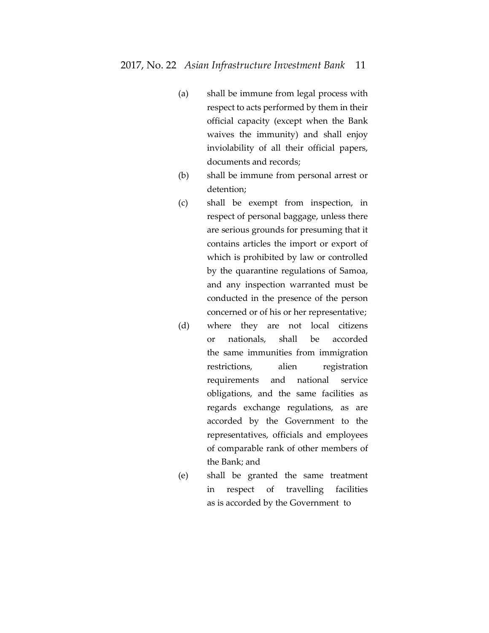- (a) shall be immune from legal process with respect to acts performed by them in their official capacity (except when the Bank waives the immunity) and shall enjoy inviolability of all their official papers, documents and records;
- (b) shall be immune from personal arrest or detention;
- (c) shall be exempt from inspection, in respect of personal baggage, unless there are serious grounds for presuming that it contains articles the import or export of which is prohibited by law or controlled by the quarantine regulations of Samoa, and any inspection warranted must be conducted in the presence of the person concerned or of his or her representative;
- (d) where they are not local citizens or nationals, shall be accorded the same immunities from immigration restrictions, alien registration requirements and national service obligations, and the same facilities as regards exchange regulations, as are accorded by the Government to the representatives, officials and employees of comparable rank of other members of the Bank; and
- (e) shall be granted the same treatment in respect of travelling facilities as is accorded by the Government to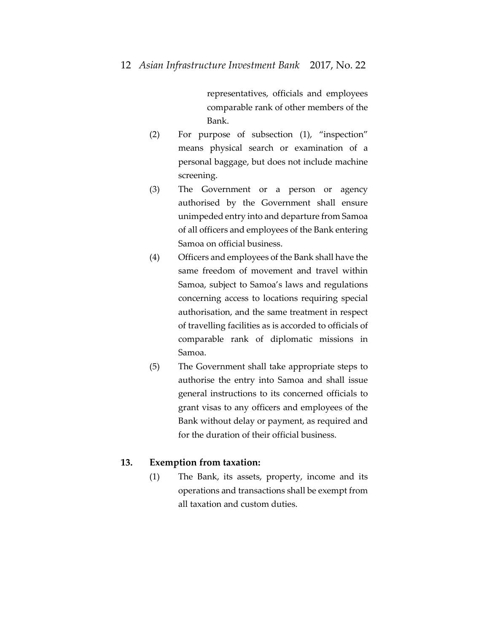representatives, officials and employees comparable rank of other members of the Bank.

- (2) For purpose of subsection (1), "inspection" means physical search or examination of a personal baggage, but does not include machine screening.
- (3) The Government or a person or agency authorised by the Government shall ensure unimpeded entry into and departure from Samoa of all officers and employees of the Bank entering Samoa on official business.
- (4) Officers and employees of the Bank shall have the same freedom of movement and travel within Samoa, subject to Samoa's laws and regulations concerning access to locations requiring special authorisation, and the same treatment in respect of travelling facilities as is accorded to officials of comparable rank of diplomatic missions in Samoa.
- (5) The Government shall take appropriate steps to authorise the entry into Samoa and shall issue general instructions to its concerned officials to grant visas to any officers and employees of the Bank without delay or payment, as required and for the duration of their official business.

### **13. Exemption from taxation:**

(1) The Bank, its assets, property, income and its operations and transactions shall be exempt from all taxation and custom duties.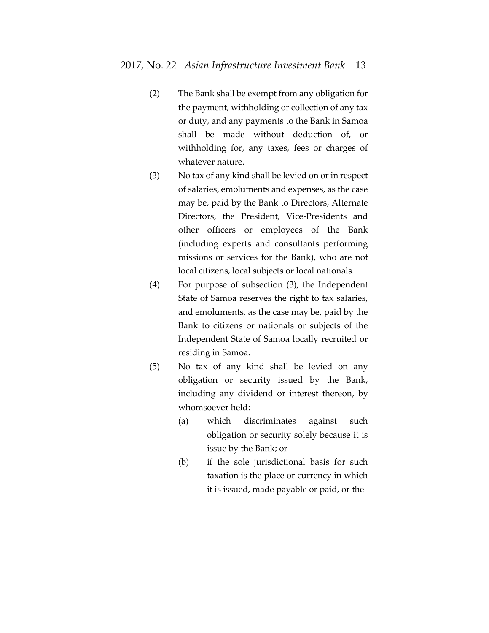- (2) The Bank shall be exempt from any obligation for the payment, withholding or collection of any tax or duty, and any payments to the Bank in Samoa shall be made without deduction of, or withholding for, any taxes, fees or charges of whatever nature.
- (3) No tax of any kind shall be levied on or in respect of salaries, emoluments and expenses, as the case may be, paid by the Bank to Directors, Alternate Directors, the President, Vice-Presidents and other officers or employees of the Bank (including experts and consultants performing missions or services for the Bank), who are not local citizens, local subjects or local nationals.
- (4) For purpose of subsection (3), the Independent State of Samoa reserves the right to tax salaries, and emoluments, as the case may be, paid by the Bank to citizens or nationals or subjects of the Independent State of Samoa locally recruited or residing in Samoa.
- (5) No tax of any kind shall be levied on any obligation or security issued by the Bank, including any dividend or interest thereon, by whomsoever held:
	- (a) which discriminates against such obligation or security solely because it is issue by the Bank; or
	- (b) if the sole jurisdictional basis for such taxation is the place or currency in which it is issued, made payable or paid, or the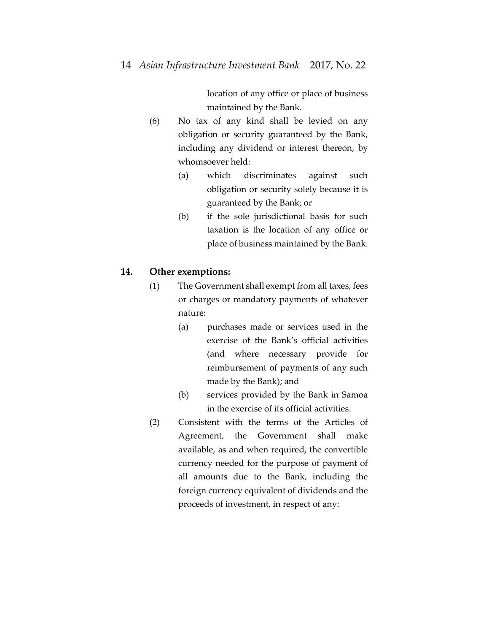location of any office or place of business maintained by the Bank.

- (6) No tax of any kind shall be levied on any obligation or security guaranteed by the Bank, including any dividend or interest thereon, by whomsoever held:
	- (a) which discriminates against such obligation or security solely because it is guaranteed by the Bank; or
	- (b) if the sole jurisdictional basis for such taxation is the location of any office or place of business maintained by the Bank.

## **14. Other exemptions:**

- (1) The Government shall exempt from all taxes, fees or charges or mandatory payments of whatever nature:
	- (a) purchases made or services used in the exercise of the Bank's official activities (and where necessary provide for reimbursement of payments of any such made by the Bank); and
	- (b) services provided by the Bank in Samoa in the exercise of its official activities.
- (2) Consistent with the terms of the Articles of Agreement, the Government shall make available, as and when required, the convertible currency needed for the purpose of payment of all amounts due to the Bank, including the foreign currency equivalent of dividends and the proceeds of investment, in respect of any: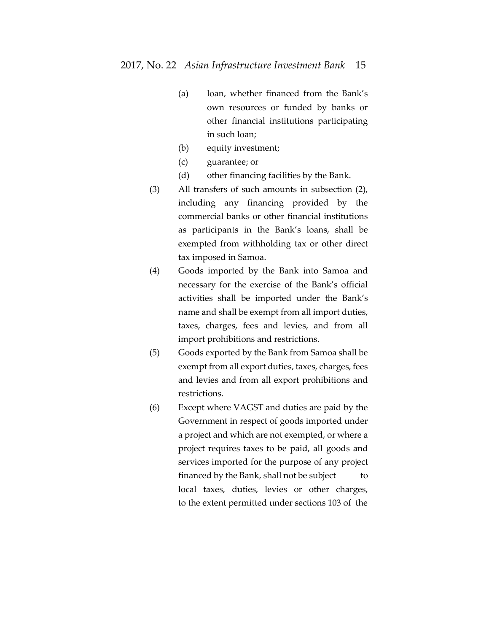- (a) loan, whether financed from the Bank's own resources or funded by banks or other financial institutions participating in such loan;
- (b) equity investment;
- (c) guarantee; or
- (d) other financing facilities by the Bank.
- (3) All transfers of such amounts in subsection (2), including any financing provided by the commercial banks or other financial institutions as participants in the Bank's loans, shall be exempted from withholding tax or other direct tax imposed in Samoa.
- (4) Goods imported by the Bank into Samoa and necessary for the exercise of the Bank's official activities shall be imported under the Bank's name and shall be exempt from all import duties, taxes, charges, fees and levies, and from all import prohibitions and restrictions.
- (5) Goods exported by the Bank from Samoa shall be exempt from all export duties, taxes, charges, fees and levies and from all export prohibitions and restrictions.
- (6) Except where VAGST and duties are paid by the Government in respect of goods imported under a project and which are not exempted, or where a project requires taxes to be paid, all goods and services imported for the purpose of any project financed by the Bank, shall not be subject to local taxes, duties, levies or other charges, to the extent permitted under sections 103 of the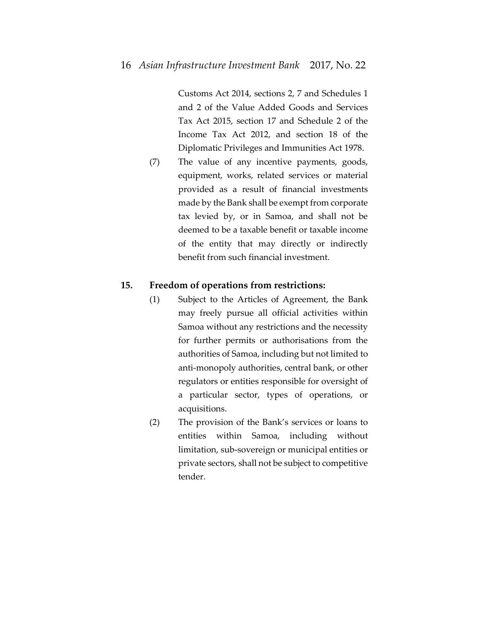Customs Act 2014, sections 2, 7 and Schedules 1 and 2 of the Value Added Goods and Services Tax Act 2015, section 17 and Schedule 2 of the Income Tax Act 2012, and section 18 of the Diplomatic Privileges and Immunities Act 1978.

(7) The value of any incentive payments, goods, equipment, works, related services or material provided as a result of financial investments made by the Bank shall be exempt from corporate tax levied by, or in Samoa, and shall not be deemed to be a taxable benefit or taxable income of the entity that may directly or indirectly benefit from such financial investment.

# **15. Freedom of operations from restrictions:**

- (1) Subject to the Articles of Agreement, the Bank may freely pursue all official activities within Samoa without any restrictions and the necessity for further permits or authorisations from the authorities of Samoa, including but not limited to anti-monopoly authorities, central bank, or other regulators or entities responsible for oversight of a particular sector, types of operations, or acquisitions.
- (2) The provision of the Bank's services or loans to entities within Samoa, including without limitation, sub-sovereign or municipal entities or private sectors, shall not be subject to competitive tender.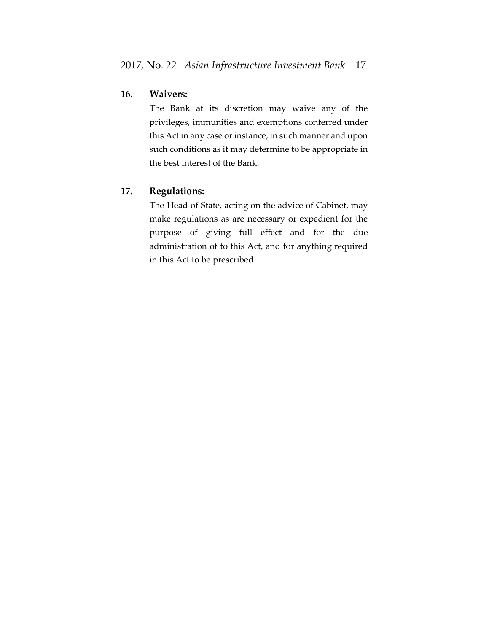# **16. Waivers:**

The Bank at its discretion may waive any of the privileges, immunities and exemptions conferred under this Act in any case or instance, in such manner and upon such conditions as it may determine to be appropriate in the best interest of the Bank.

# **17. Regulations:**

The Head of State, acting on the advice of Cabinet, may make regulations as are necessary or expedient for the purpose of giving full effect and for the due administration of to this Act, and for anything required in this Act to be prescribed.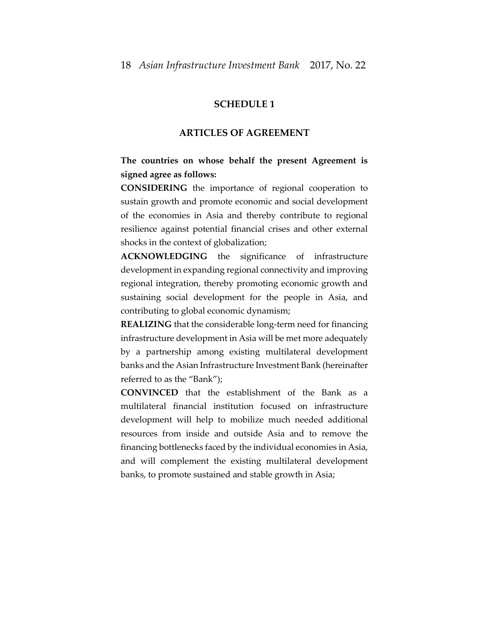### **SCHEDULE 1**

#### **ARTICLES OF AGREEMENT**

# **The countries on whose behalf the present Agreement is signed agree as follows:**

**CONSIDERING** the importance of regional cooperation to sustain growth and promote economic and social development of the economies in Asia and thereby contribute to regional resilience against potential financial crises and other external shocks in the context of globalization;

**ACKNOWLEDGING** the significance of infrastructure development in expanding regional connectivity and improving regional integration, thereby promoting economic growth and sustaining social development for the people in Asia, and contributing to global economic dynamism;

**REALIZING** that the considerable long-term need for financing infrastructure development in Asia will be met more adequately by a partnership among existing multilateral development banks and the Asian Infrastructure Investment Bank (hereinafter referred to as the "Bank");

**CONVINCED** that the establishment of the Bank as a multilateral financial institution focused on infrastructure development will help to mobilize much needed additional resources from inside and outside Asia and to remove the financing bottlenecks faced by the individual economies in Asia, and will complement the existing multilateral development banks, to promote sustained and stable growth in Asia;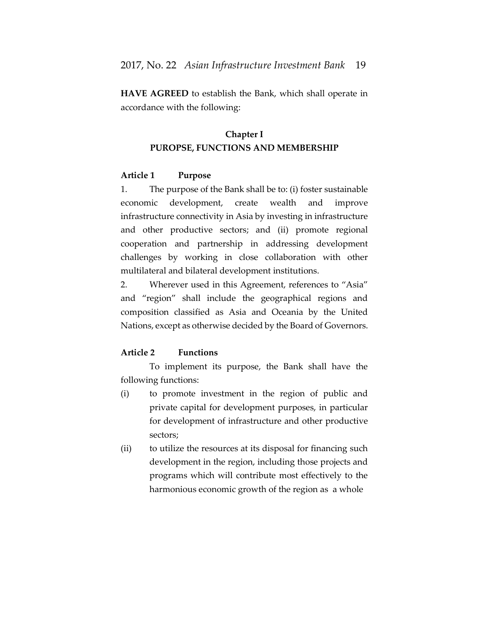**HAVE AGREED** to establish the Bank, which shall operate in accordance with the following:

# **Chapter I PUROPSE, FUNCTIONS AND MEMBERSHIP**

# **Article 1 Purpose**

1. The purpose of the Bank shall be to: (i) foster sustainable economic development, create wealth and improve infrastructure connectivity in Asia by investing in infrastructure and other productive sectors; and (ii) promote regional cooperation and partnership in addressing development challenges by working in close collaboration with other multilateral and bilateral development institutions.

2. Wherever used in this Agreement, references to "Asia" and "region" shall include the geographical regions and composition classified as Asia and Oceania by the United Nations, except as otherwise decided by the Board of Governors.

# **Article 2 Functions**

To implement its purpose, the Bank shall have the following functions:

- (i) to promote investment in the region of public and private capital for development purposes, in particular for development of infrastructure and other productive sectors;
- (ii) to utilize the resources at its disposal for financing such development in the region, including those projects and programs which will contribute most effectively to the harmonious economic growth of the region as a whole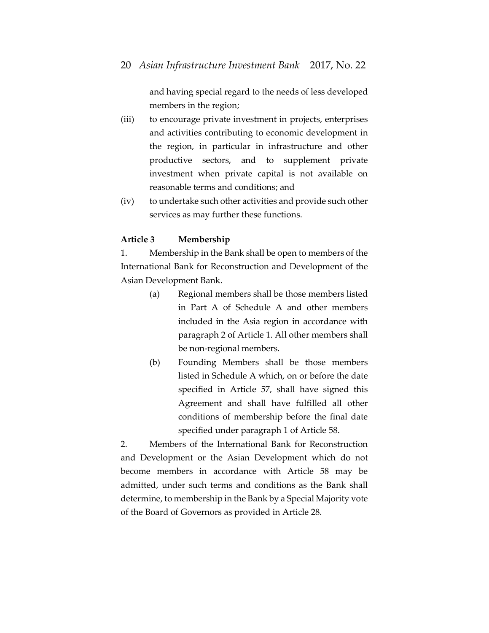and having special regard to the needs of less developed members in the region;

- (iii) to encourage private investment in projects, enterprises and activities contributing to economic development in the region, in particular in infrastructure and other productive sectors, and to supplement private investment when private capital is not available on reasonable terms and conditions; and
- (iv) to undertake such other activities and provide such other services as may further these functions.

### **Article 3 Membership**

1. Membership in the Bank shall be open to members of the International Bank for Reconstruction and Development of the Asian Development Bank.

- (a) Regional members shall be those members listed in Part A of Schedule A and other members included in the Asia region in accordance with paragraph 2 of Article 1. All other members shall be non-regional members.
- (b) Founding Members shall be those members listed in Schedule A which, on or before the date specified in Article 57, shall have signed this Agreement and shall have fulfilled all other conditions of membership before the final date specified under paragraph 1 of Article 58.

2. Members of the International Bank for Reconstruction and Development or the Asian Development which do not become members in accordance with Article 58 may be admitted, under such terms and conditions as the Bank shall determine, to membership in the Bank by a Special Majority vote of the Board of Governors as provided in Article 28.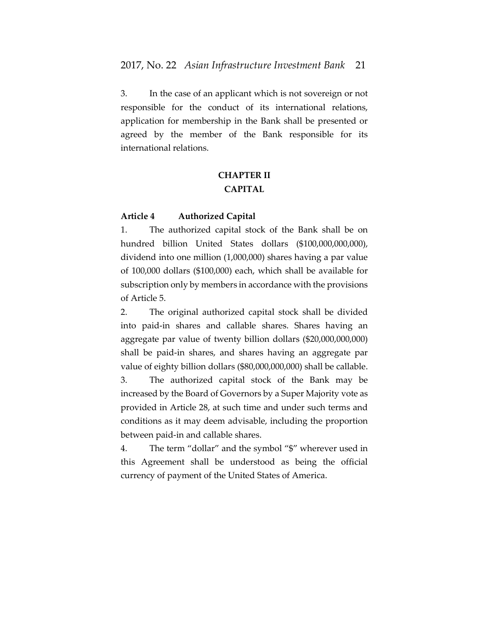3. In the case of an applicant which is not sovereign or not responsible for the conduct of its international relations, application for membership in the Bank shall be presented or agreed by the member of the Bank responsible for its international relations.

# **CHAPTER II CAPITAL**

### **Article 4 Authorized Capital**

1. The authorized capital stock of the Bank shall be on hundred billion United States dollars (\$100,000,000,000), dividend into one million (1,000,000) shares having a par value of 100,000 dollars (\$100,000) each, which shall be available for subscription only by members in accordance with the provisions of Article 5.

2. The original authorized capital stock shall be divided into paid-in shares and callable shares. Shares having an aggregate par value of twenty billion dollars (\$20,000,000,000) shall be paid-in shares, and shares having an aggregate par value of eighty billion dollars (\$80,000,000,000) shall be callable. 3. The authorized capital stock of the Bank may be increased by the Board of Governors by a Super Majority vote as provided in Article 28, at such time and under such terms and conditions as it may deem advisable, including the proportion between paid-in and callable shares.

4. The term "dollar" and the symbol "\$" wherever used in this Agreement shall be understood as being the official currency of payment of the United States of America.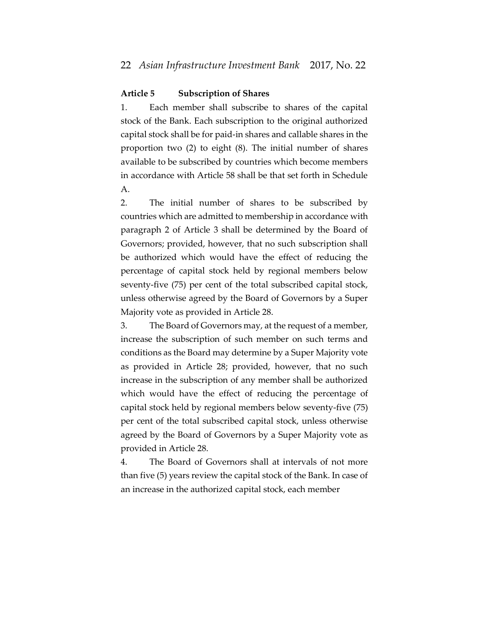### **Article 5 Subscription of Shares**

1. Each member shall subscribe to shares of the capital stock of the Bank. Each subscription to the original authorized capital stock shall be for paid-in shares and callable shares in the proportion two (2) to eight (8). The initial number of shares available to be subscribed by countries which become members in accordance with Article 58 shall be that set forth in Schedule A.

2. The initial number of shares to be subscribed by countries which are admitted to membership in accordance with paragraph 2 of Article 3 shall be determined by the Board of Governors; provided, however, that no such subscription shall be authorized which would have the effect of reducing the percentage of capital stock held by regional members below seventy-five (75) per cent of the total subscribed capital stock, unless otherwise agreed by the Board of Governors by a Super Majority vote as provided in Article 28.

3. The Board of Governors may, at the request of a member, increase the subscription of such member on such terms and conditions as the Board may determine by a Super Majority vote as provided in Article 28; provided, however, that no such increase in the subscription of any member shall be authorized which would have the effect of reducing the percentage of capital stock held by regional members below seventy-five (75) per cent of the total subscribed capital stock, unless otherwise agreed by the Board of Governors by a Super Majority vote as provided in Article 28.

4. The Board of Governors shall at intervals of not more than five (5) years review the capital stock of the Bank. In case of an increase in the authorized capital stock, each member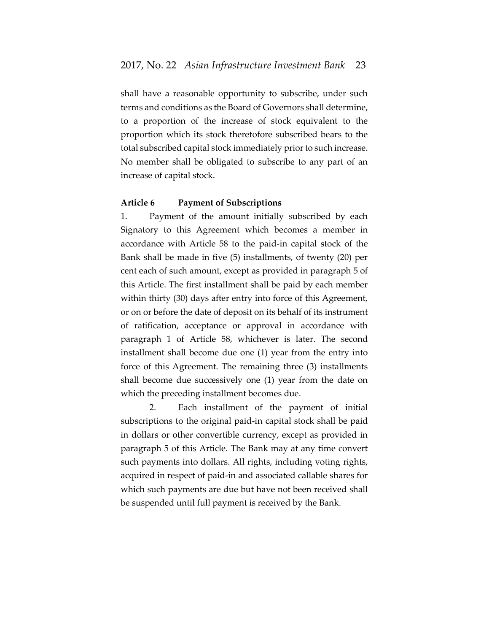shall have a reasonable opportunity to subscribe, under such terms and conditions as the Board of Governors shall determine, to a proportion of the increase of stock equivalent to the proportion which its stock theretofore subscribed bears to the total subscribed capital stock immediately prior to such increase. No member shall be obligated to subscribe to any part of an increase of capital stock.

#### **Article 6 Payment of Subscriptions**

1. Payment of the amount initially subscribed by each Signatory to this Agreement which becomes a member in accordance with Article 58 to the paid-in capital stock of the Bank shall be made in five (5) installments, of twenty (20) per cent each of such amount, except as provided in paragraph 5 of this Article. The first installment shall be paid by each member within thirty (30) days after entry into force of this Agreement, or on or before the date of deposit on its behalf of its instrument of ratification, acceptance or approval in accordance with paragraph 1 of Article 58, whichever is later. The second installment shall become due one (1) year from the entry into force of this Agreement. The remaining three (3) installments shall become due successively one (1) year from the date on which the preceding installment becomes due.

2. Each installment of the payment of initial subscriptions to the original paid-in capital stock shall be paid in dollars or other convertible currency, except as provided in paragraph 5 of this Article. The Bank may at any time convert such payments into dollars. All rights, including voting rights, acquired in respect of paid-in and associated callable shares for which such payments are due but have not been received shall be suspended until full payment is received by the Bank.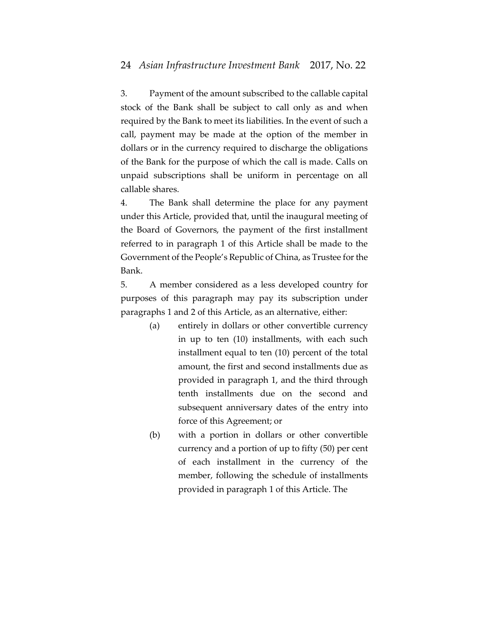3. Payment of the amount subscribed to the callable capital stock of the Bank shall be subject to call only as and when required by the Bank to meet its liabilities. In the event of such a call, payment may be made at the option of the member in dollars or in the currency required to discharge the obligations of the Bank for the purpose of which the call is made. Calls on unpaid subscriptions shall be uniform in percentage on all callable shares.

4. The Bank shall determine the place for any payment under this Article, provided that, until the inaugural meeting of the Board of Governors, the payment of the first installment referred to in paragraph 1 of this Article shall be made to the Government of the People's Republic of China, as Trustee for the Bank.

5. A member considered as a less developed country for purposes of this paragraph may pay its subscription under paragraphs 1 and 2 of this Article, as an alternative, either:

- (a) entirely in dollars or other convertible currency in up to ten (10) installments, with each such installment equal to ten (10) percent of the total amount, the first and second installments due as provided in paragraph 1, and the third through tenth installments due on the second and subsequent anniversary dates of the entry into force of this Agreement; or
- (b) with a portion in dollars or other convertible currency and a portion of up to fifty (50) per cent of each installment in the currency of the member, following the schedule of installments provided in paragraph 1 of this Article. The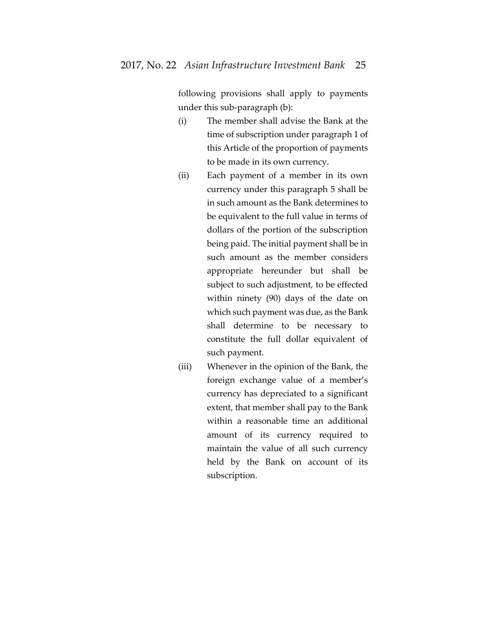following provisions shall apply to payments under this sub-paragraph (b):

- (i) The member shall advise the Bank at the time of subscription under paragraph 1 of this Article of the proportion of payments to be made in its own currency.
- (ii) Each payment of a member in its own currency under this paragraph 5 shall be in such amount as the Bank determines to be equivalent to the full value in terms of dollars of the portion of the subscription being paid. The initial payment shall be in such amount as the member considers appropriate hereunder but shall be subject to such adjustment, to be effected within ninety (90) days of the date on which such payment was due, as the Bank shall determine to be necessary to constitute the full dollar equivalent of such payment.
- (iii) Whenever in the opinion of the Bank, the foreign exchange value of a member's currency has depreciated to a significant extent, that member shall pay to the Bank within a reasonable time an additional amount of its currency required to maintain the value of all such currency held by the Bank on account of its subscription.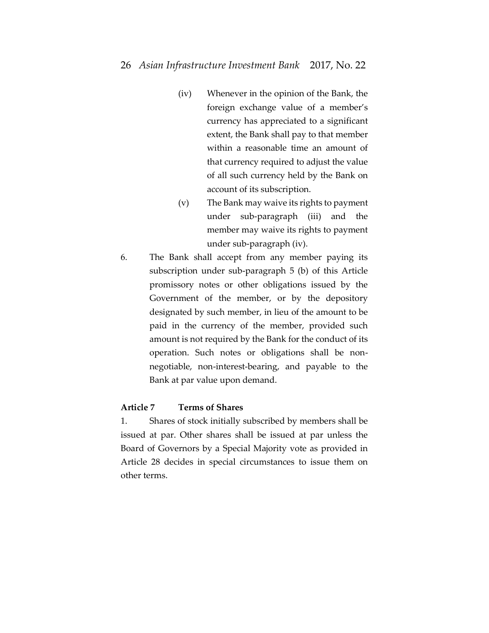- (iv) Whenever in the opinion of the Bank, the foreign exchange value of a member's currency has appreciated to a significant extent, the Bank shall pay to that member within a reasonable time an amount of that currency required to adjust the value of all such currency held by the Bank on account of its subscription.
- (v) The Bank may waive its rights to payment under sub-paragraph (iii) and the member may waive its rights to payment under sub-paragraph (iv).
- 6. The Bank shall accept from any member paying its subscription under sub-paragraph 5 (b) of this Article promissory notes or other obligations issued by the Government of the member, or by the depository designated by such member, in lieu of the amount to be paid in the currency of the member, provided such amount is not required by the Bank for the conduct of its operation. Such notes or obligations shall be nonnegotiable, non-interest-bearing, and payable to the Bank at par value upon demand.

# **Article 7 Terms of Shares**

1. Shares of stock initially subscribed by members shall be issued at par. Other shares shall be issued at par unless the Board of Governors by a Special Majority vote as provided in Article 28 decides in special circumstances to issue them on other terms.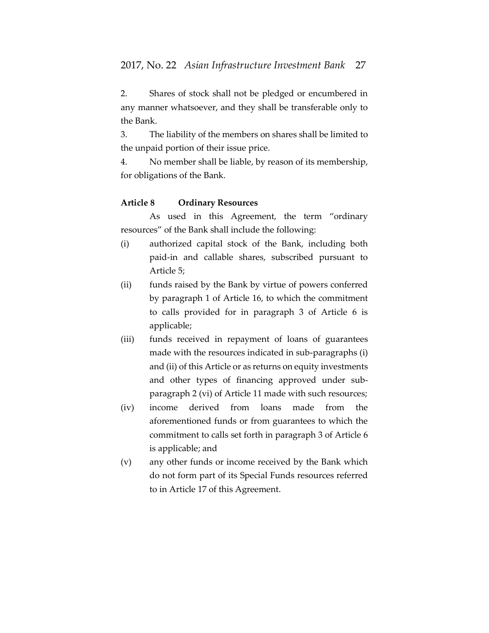2. Shares of stock shall not be pledged or encumbered in any manner whatsoever, and they shall be transferable only to the Bank.

3. The liability of the members on shares shall be limited to the unpaid portion of their issue price.

4. No member shall be liable, by reason of its membership, for obligations of the Bank.

## **Article 8 Ordinary Resources**

As used in this Agreement, the term "ordinary resources" of the Bank shall include the following:

- (i) authorized capital stock of the Bank, including both paid-in and callable shares, subscribed pursuant to Article 5;
- (ii) funds raised by the Bank by virtue of powers conferred by paragraph 1 of Article 16, to which the commitment to calls provided for in paragraph 3 of Article 6 is applicable;
- (iii) funds received in repayment of loans of guarantees made with the resources indicated in sub-paragraphs (i) and (ii) of this Article or as returns on equity investments and other types of financing approved under subparagraph 2 (vi) of Article 11 made with such resources;
- (iv) income derived from loans made from the aforementioned funds or from guarantees to which the commitment to calls set forth in paragraph 3 of Article 6 is applicable; and
- (v) any other funds or income received by the Bank which do not form part of its Special Funds resources referred to in Article 17 of this Agreement.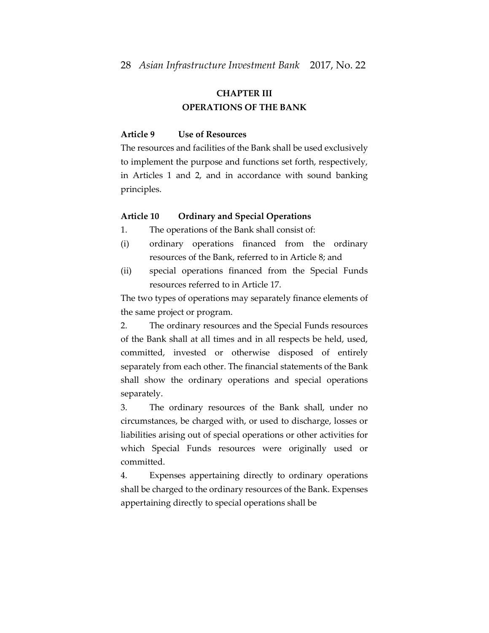# **CHAPTER III OPERATIONS OF THE BANK**

# **Article 9 Use of Resources**

The resources and facilities of the Bank shall be used exclusively to implement the purpose and functions set forth, respectively, in Articles 1 and 2, and in accordance with sound banking principles.

#### **Article 10 Ordinary and Special Operations**

1. The operations of the Bank shall consist of:

- (i) ordinary operations financed from the ordinary resources of the Bank, referred to in Article 8; and
- (ii) special operations financed from the Special Funds resources referred to in Article 17.

The two types of operations may separately finance elements of the same project or program.

2. The ordinary resources and the Special Funds resources of the Bank shall at all times and in all respects be held, used, committed, invested or otherwise disposed of entirely separately from each other. The financial statements of the Bank shall show the ordinary operations and special operations separately.

3. The ordinary resources of the Bank shall, under no circumstances, be charged with, or used to discharge, losses or liabilities arising out of special operations or other activities for which Special Funds resources were originally used or committed.

4. Expenses appertaining directly to ordinary operations shall be charged to the ordinary resources of the Bank. Expenses appertaining directly to special operations shall be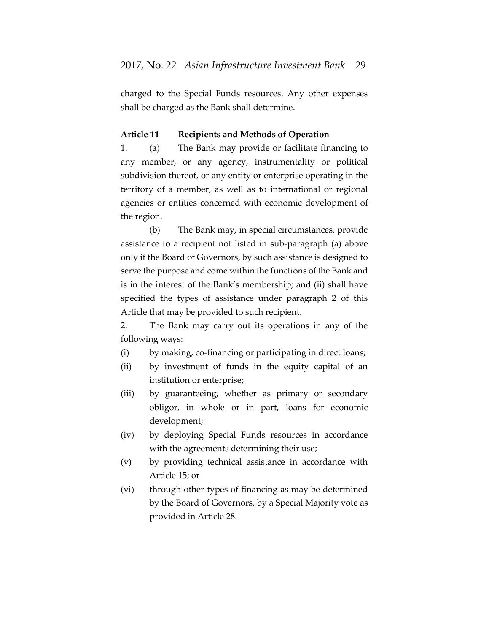charged to the Special Funds resources. Any other expenses shall be charged as the Bank shall determine.

### **Article 11 Recipients and Methods of Operation**

1. (a) The Bank may provide or facilitate financing to any member, or any agency, instrumentality or political subdivision thereof, or any entity or enterprise operating in the territory of a member, as well as to international or regional agencies or entities concerned with economic development of the region.

(b) The Bank may, in special circumstances, provide assistance to a recipient not listed in sub-paragraph (a) above only if the Board of Governors, by such assistance is designed to serve the purpose and come within the functions of the Bank and is in the interest of the Bank's membership; and (ii) shall have specified the types of assistance under paragraph 2 of this Article that may be provided to such recipient.

2. The Bank may carry out its operations in any of the following ways:

- (i) by making, co-financing or participating in direct loans;
- (ii) by investment of funds in the equity capital of an institution or enterprise;
- (iii) by guaranteeing, whether as primary or secondary obligor, in whole or in part, loans for economic development;
- (iv) by deploying Special Funds resources in accordance with the agreements determining their use;
- (v) by providing technical assistance in accordance with Article 15; or
- (vi) through other types of financing as may be determined by the Board of Governors, by a Special Majority vote as provided in Article 28.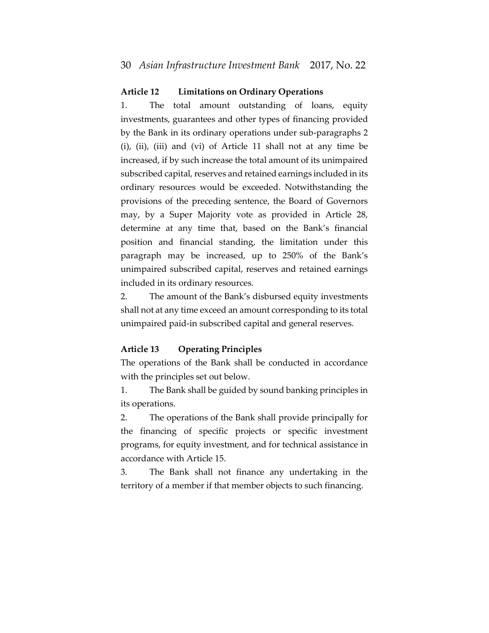## **Article 12 Limitations on Ordinary Operations**

1. The total amount outstanding of loans, equity investments, guarantees and other types of financing provided by the Bank in its ordinary operations under sub-paragraphs 2 (i), (ii), (iii) and (vi) of Article 11 shall not at any time be increased, if by such increase the total amount of its unimpaired subscribed capital, reserves and retained earnings included in its ordinary resources would be exceeded. Notwithstanding the provisions of the preceding sentence, the Board of Governors may, by a Super Majority vote as provided in Article 28, determine at any time that, based on the Bank's financial position and financial standing, the limitation under this paragraph may be increased, up to 250% of the Bank's unimpaired subscribed capital, reserves and retained earnings included in its ordinary resources.

2. The amount of the Bank's disbursed equity investments shall not at any time exceed an amount corresponding to its total unimpaired paid-in subscribed capital and general reserves.

#### **Article 13 Operating Principles**

The operations of the Bank shall be conducted in accordance with the principles set out below.

1. The Bank shall be guided by sound banking principles in its operations.

2. The operations of the Bank shall provide principally for the financing of specific projects or specific investment programs, for equity investment, and for technical assistance in accordance with Article 15.

3. The Bank shall not finance any undertaking in the territory of a member if that member objects to such financing.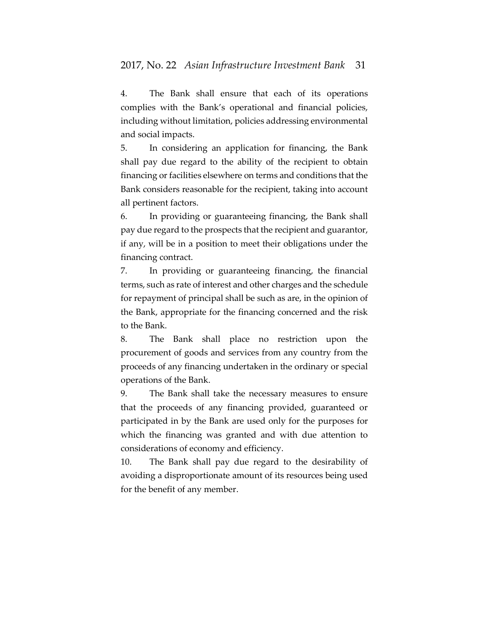4. The Bank shall ensure that each of its operations complies with the Bank's operational and financial policies, including without limitation, policies addressing environmental and social impacts.

5. In considering an application for financing, the Bank shall pay due regard to the ability of the recipient to obtain financing or facilities elsewhere on terms and conditions that the Bank considers reasonable for the recipient, taking into account all pertinent factors.

6. In providing or guaranteeing financing, the Bank shall pay due regard to the prospects that the recipient and guarantor, if any, will be in a position to meet their obligations under the financing contract.

7. In providing or guaranteeing financing, the financial terms, such as rate of interest and other charges and the schedule for repayment of principal shall be such as are, in the opinion of the Bank, appropriate for the financing concerned and the risk to the Bank.

8. The Bank shall place no restriction upon the procurement of goods and services from any country from the proceeds of any financing undertaken in the ordinary or special operations of the Bank.

9. The Bank shall take the necessary measures to ensure that the proceeds of any financing provided, guaranteed or participated in by the Bank are used only for the purposes for which the financing was granted and with due attention to considerations of economy and efficiency.

10. The Bank shall pay due regard to the desirability of avoiding a disproportionate amount of its resources being used for the benefit of any member.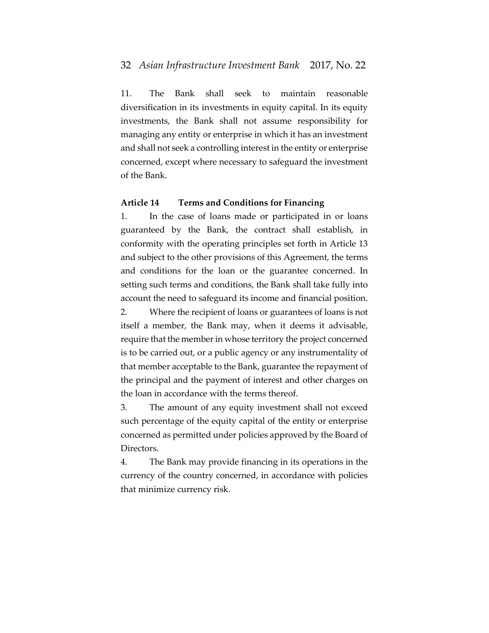### 32 *Asian Infrastructure Investment Bank* 2017, No. 22

11. The Bank shall seek to maintain reasonable diversification in its investments in equity capital. In its equity investments, the Bank shall not assume responsibility for managing any entity or enterprise in which it has an investment and shall not seek a controlling interest in the entity or enterprise concerned, except where necessary to safeguard the investment of the Bank.

### **Article 14 Terms and Conditions for Financing**

1. In the case of loans made or participated in or loans guaranteed by the Bank, the contract shall establish, in conformity with the operating principles set forth in Article 13 and subject to the other provisions of this Agreement, the terms and conditions for the loan or the guarantee concerned. In setting such terms and conditions, the Bank shall take fully into account the need to safeguard its income and financial position.

2. Where the recipient of loans or guarantees of loans is not itself a member, the Bank may, when it deems it advisable, require that the member in whose territory the project concerned is to be carried out, or a public agency or any instrumentality of that member acceptable to the Bank, guarantee the repayment of the principal and the payment of interest and other charges on the loan in accordance with the terms thereof.

3. The amount of any equity investment shall not exceed such percentage of the equity capital of the entity or enterprise concerned as permitted under policies approved by the Board of Directors.

4. The Bank may provide financing in its operations in the currency of the country concerned, in accordance with policies that minimize currency risk.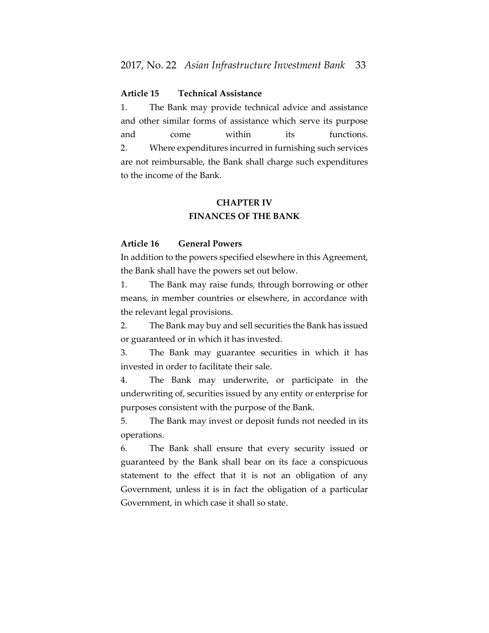# **Article 15 Technical Assistance**

1. The Bank may provide technical advice and assistance and other similar forms of assistance which serve its purpose and come within its functions. 2. Where expenditures incurred in furnishing such services are not reimbursable, the Bank shall charge such expenditures to the income of the Bank.

# **CHAPTER IV FINANCES OF THE BANK**

#### **Article 16 General Powers**

In addition to the powers specified elsewhere in this Agreement, the Bank shall have the powers set out below.

1. The Bank may raise funds, through borrowing or other means, in member countries or elsewhere, in accordance with the relevant legal provisions.

2. The Bank may buy and sell securities the Bank has issued or guaranteed or in which it has invested.

3. The Bank may guarantee securities in which it has invested in order to facilitate their sale.

4. The Bank may underwrite, or participate in the underwriting of, securities issued by any entity or enterprise for purposes consistent with the purpose of the Bank.

5. The Bank may invest or deposit funds not needed in its operations.

6. The Bank shall ensure that every security issued or guaranteed by the Bank shall bear on its face a conspicuous statement to the effect that it is not an obligation of any Government, unless it is in fact the obligation of a particular Government, in which case it shall so state.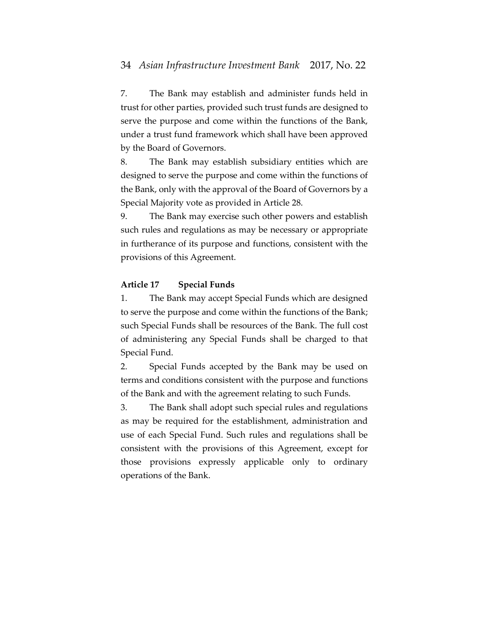7. The Bank may establish and administer funds held in trust for other parties, provided such trust funds are designed to serve the purpose and come within the functions of the Bank, under a trust fund framework which shall have been approved by the Board of Governors.

8. The Bank may establish subsidiary entities which are designed to serve the purpose and come within the functions of the Bank, only with the approval of the Board of Governors by a Special Majority vote as provided in Article 28.

9. The Bank may exercise such other powers and establish such rules and regulations as may be necessary or appropriate in furtherance of its purpose and functions, consistent with the provisions of this Agreement.

#### **Article 17 Special Funds**

1. The Bank may accept Special Funds which are designed to serve the purpose and come within the functions of the Bank; such Special Funds shall be resources of the Bank. The full cost of administering any Special Funds shall be charged to that Special Fund.

2. Special Funds accepted by the Bank may be used on terms and conditions consistent with the purpose and functions of the Bank and with the agreement relating to such Funds.

3. The Bank shall adopt such special rules and regulations as may be required for the establishment, administration and use of each Special Fund. Such rules and regulations shall be consistent with the provisions of this Agreement, except for those provisions expressly applicable only to ordinary operations of the Bank.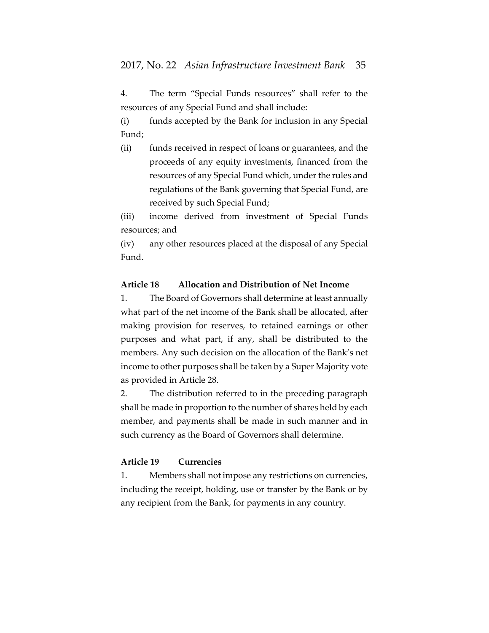4. The term "Special Funds resources" shall refer to the resources of any Special Fund and shall include:

(i) funds accepted by the Bank for inclusion in any Special Fund;

(ii) funds received in respect of loans or guarantees, and the proceeds of any equity investments, financed from the resources of any Special Fund which, under the rules and regulations of the Bank governing that Special Fund, are received by such Special Fund;

(iii) income derived from investment of Special Funds resources; and

(iv) any other resources placed at the disposal of any Special Fund.

## **Article 18 Allocation and Distribution of Net Income**

1. The Board of Governors shall determine at least annually what part of the net income of the Bank shall be allocated, after making provision for reserves, to retained earnings or other purposes and what part, if any, shall be distributed to the members. Any such decision on the allocation of the Bank's net income to other purposes shall be taken by a Super Majority vote as provided in Article 28.

2. The distribution referred to in the preceding paragraph shall be made in proportion to the number of shares held by each member, and payments shall be made in such manner and in such currency as the Board of Governors shall determine.

# **Article 19 Currencies**

1. Members shall not impose any restrictions on currencies, including the receipt, holding, use or transfer by the Bank or by any recipient from the Bank, for payments in any country.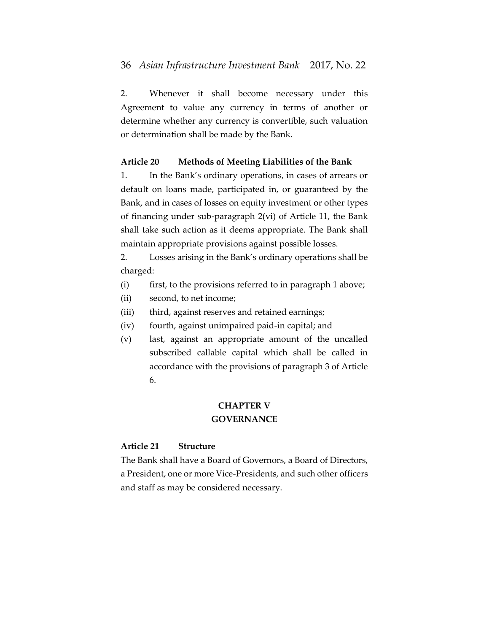2. Whenever it shall become necessary under this Agreement to value any currency in terms of another or determine whether any currency is convertible, such valuation or determination shall be made by the Bank.

## **Article 20 Methods of Meeting Liabilities of the Bank**

1. In the Bank's ordinary operations, in cases of arrears or default on loans made, participated in, or guaranteed by the Bank, and in cases of losses on equity investment or other types of financing under sub-paragraph 2(vi) of Article 11, the Bank shall take such action as it deems appropriate. The Bank shall maintain appropriate provisions against possible losses.

2. Losses arising in the Bank's ordinary operations shall be charged:

- (i) first, to the provisions referred to in paragraph 1 above;
- (ii) second, to net income;
- (iii) third, against reserves and retained earnings;
- (iv) fourth, against unimpaired paid-in capital; and
- (v) last, against an appropriate amount of the uncalled subscribed callable capital which shall be called in accordance with the provisions of paragraph 3 of Article 6.

# **CHAPTER V GOVERNANCE**

# **Article 21 Structure**

The Bank shall have a Board of Governors, a Board of Directors, a President, one or more Vice-Presidents, and such other officers and staff as may be considered necessary.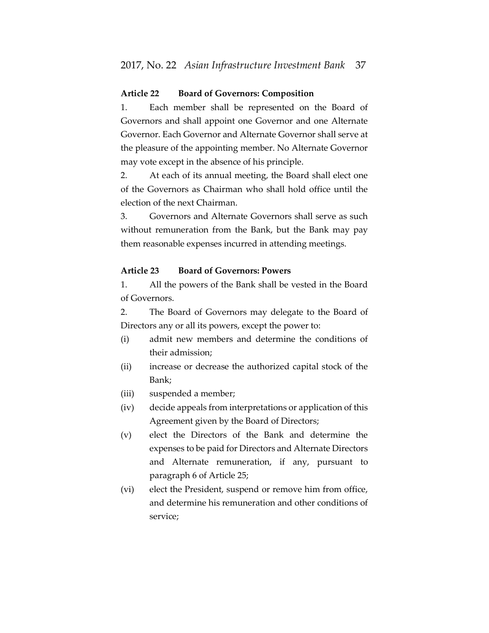### **Article 22 Board of Governors: Composition**

1. Each member shall be represented on the Board of Governors and shall appoint one Governor and one Alternate Governor. Each Governor and Alternate Governor shall serve at the pleasure of the appointing member. No Alternate Governor may vote except in the absence of his principle.

2. At each of its annual meeting, the Board shall elect one of the Governors as Chairman who shall hold office until the election of the next Chairman.

3. Governors and Alternate Governors shall serve as such without remuneration from the Bank, but the Bank may pay them reasonable expenses incurred in attending meetings.

#### **Article 23 Board of Governors: Powers**

1. All the powers of the Bank shall be vested in the Board of Governors.

2. The Board of Governors may delegate to the Board of Directors any or all its powers, except the power to:

- (i) admit new members and determine the conditions of their admission;
- (ii) increase or decrease the authorized capital stock of the Bank;
- (iii) suspended a member;
- (iv) decide appeals from interpretations or application of this Agreement given by the Board of Directors;
- (v) elect the Directors of the Bank and determine the expenses to be paid for Directors and Alternate Directors and Alternate remuneration, if any, pursuant to paragraph 6 of Article 25;
- (vi) elect the President, suspend or remove him from office, and determine his remuneration and other conditions of service;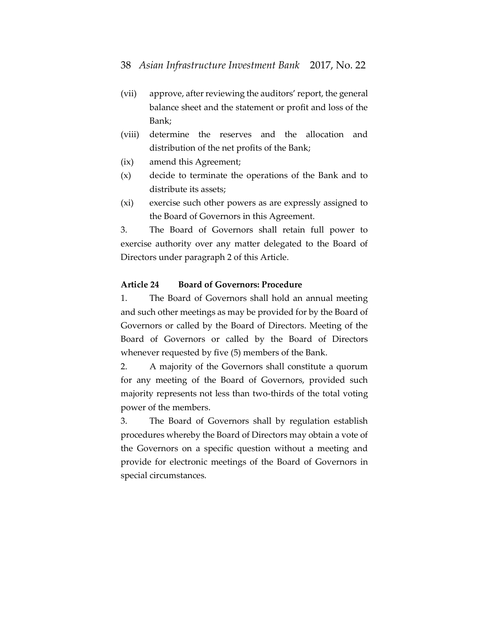- (vii) approve, after reviewing the auditors' report, the general balance sheet and the statement or profit and loss of the Bank;
- (viii) determine the reserves and the allocation and distribution of the net profits of the Bank;
- (ix) amend this Agreement;
- (x) decide to terminate the operations of the Bank and to distribute its assets;
- (xi) exercise such other powers as are expressly assigned to the Board of Governors in this Agreement.

3. The Board of Governors shall retain full power to exercise authority over any matter delegated to the Board of Directors under paragraph 2 of this Article.

#### **Article 24 Board of Governors: Procedure**

1. The Board of Governors shall hold an annual meeting and such other meetings as may be provided for by the Board of Governors or called by the Board of Directors. Meeting of the Board of Governors or called by the Board of Directors whenever requested by five (5) members of the Bank.

2. A majority of the Governors shall constitute a quorum for any meeting of the Board of Governors, provided such majority represents not less than two-thirds of the total voting power of the members.

3. The Board of Governors shall by regulation establish procedures whereby the Board of Directors may obtain a vote of the Governors on a specific question without a meeting and provide for electronic meetings of the Board of Governors in special circumstances.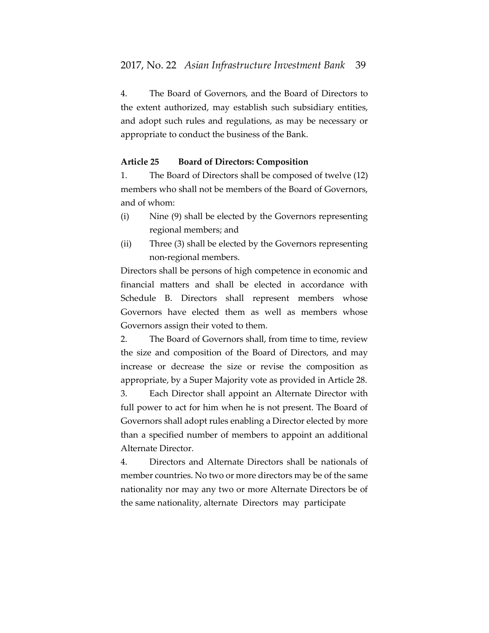4. The Board of Governors, and the Board of Directors to the extent authorized, may establish such subsidiary entities, and adopt such rules and regulations, as may be necessary or appropriate to conduct the business of the Bank.

#### **Article 25 Board of Directors: Composition**

1. The Board of Directors shall be composed of twelve (12) members who shall not be members of the Board of Governors, and of whom:

- (i) Nine (9) shall be elected by the Governors representing regional members; and
- (ii) Three (3) shall be elected by the Governors representing non-regional members.

Directors shall be persons of high competence in economic and financial matters and shall be elected in accordance with Schedule B. Directors shall represent members whose Governors have elected them as well as members whose Governors assign their voted to them.

2. The Board of Governors shall, from time to time, review the size and composition of the Board of Directors, and may increase or decrease the size or revise the composition as appropriate, by a Super Majority vote as provided in Article 28. 3. Each Director shall appoint an Alternate Director with

full power to act for him when he is not present. The Board of Governors shall adopt rules enabling a Director elected by more than a specified number of members to appoint an additional Alternate Director.

4. Directors and Alternate Directors shall be nationals of member countries. No two or more directors may be of the same nationality nor may any two or more Alternate Directors be of the same nationality, alternate Directors may participate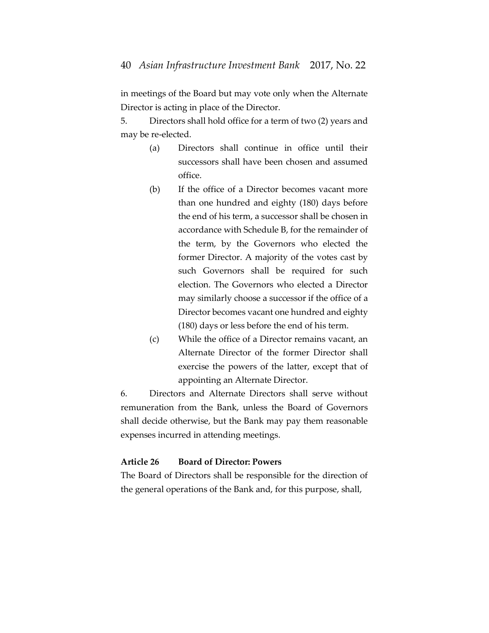in meetings of the Board but may vote only when the Alternate Director is acting in place of the Director.

5. Directors shall hold office for a term of two (2) years and may be re-elected.

- (a) Directors shall continue in office until their successors shall have been chosen and assumed office.
- (b) If the office of a Director becomes vacant more than one hundred and eighty (180) days before the end of his term, a successor shall be chosen in accordance with Schedule B, for the remainder of the term, by the Governors who elected the former Director. A majority of the votes cast by such Governors shall be required for such election. The Governors who elected a Director may similarly choose a successor if the office of a Director becomes vacant one hundred and eighty (180) days or less before the end of his term.
- (c) While the office of a Director remains vacant, an Alternate Director of the former Director shall exercise the powers of the latter, except that of appointing an Alternate Director.

6. Directors and Alternate Directors shall serve without remuneration from the Bank, unless the Board of Governors shall decide otherwise, but the Bank may pay them reasonable expenses incurred in attending meetings.

# **Article 26 Board of Director: Powers**

The Board of Directors shall be responsible for the direction of the general operations of the Bank and, for this purpose, shall,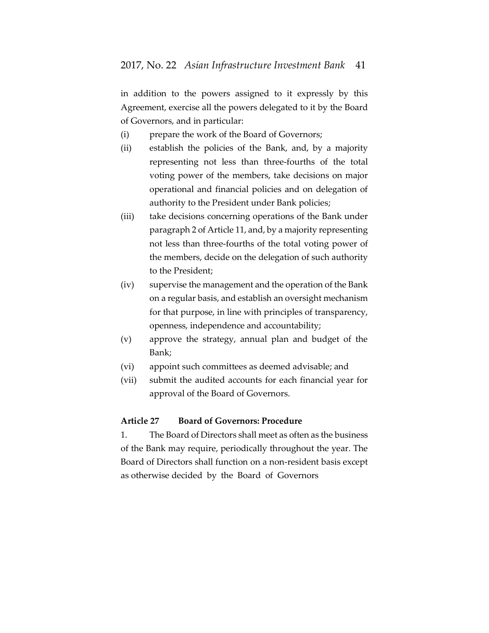in addition to the powers assigned to it expressly by this Agreement, exercise all the powers delegated to it by the Board of Governors, and in particular:

- (i) prepare the work of the Board of Governors;
- (ii) establish the policies of the Bank, and, by a majority representing not less than three-fourths of the total voting power of the members, take decisions on major operational and financial policies and on delegation of authority to the President under Bank policies;
- (iii) take decisions concerning operations of the Bank under paragraph 2 of Article 11, and, by a majority representing not less than three-fourths of the total voting power of the members, decide on the delegation of such authority to the President;
- (iv) supervise the management and the operation of the Bank on a regular basis, and establish an oversight mechanism for that purpose, in line with principles of transparency, openness, independence and accountability;
- (v) approve the strategy, annual plan and budget of the Bank;
- (vi) appoint such committees as deemed advisable; and
- (vii) submit the audited accounts for each financial year for approval of the Board of Governors.

#### **Article 27 Board of Governors: Procedure**

1. The Board of Directors shall meet as often as the business of the Bank may require, periodically throughout the year. The Board of Directors shall function on a non-resident basis except as otherwise decided by the Board of Governors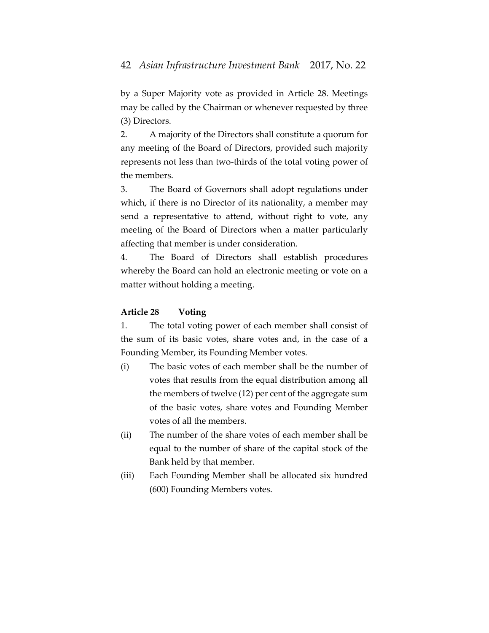by a Super Majority vote as provided in Article 28. Meetings may be called by the Chairman or whenever requested by three (3) Directors.

2. A majority of the Directors shall constitute a quorum for any meeting of the Board of Directors, provided such majority represents not less than two-thirds of the total voting power of the members.

3. The Board of Governors shall adopt regulations under which, if there is no Director of its nationality, a member may send a representative to attend, without right to vote, any meeting of the Board of Directors when a matter particularly affecting that member is under consideration.

4. The Board of Directors shall establish procedures whereby the Board can hold an electronic meeting or vote on a matter without holding a meeting.

## **Article 28 Voting**

1. The total voting power of each member shall consist of the sum of its basic votes, share votes and, in the case of a Founding Member, its Founding Member votes.

- (i) The basic votes of each member shall be the number of votes that results from the equal distribution among all the members of twelve (12) per cent of the aggregate sum of the basic votes, share votes and Founding Member votes of all the members.
- (ii) The number of the share votes of each member shall be equal to the number of share of the capital stock of the Bank held by that member.
- (iii) Each Founding Member shall be allocated six hundred (600) Founding Members votes.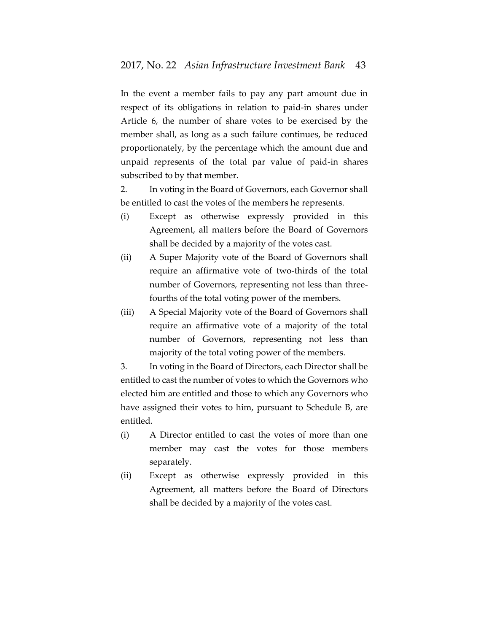In the event a member fails to pay any part amount due in respect of its obligations in relation to paid-in shares under Article 6, the number of share votes to be exercised by the member shall, as long as a such failure continues, be reduced proportionately, by the percentage which the amount due and unpaid represents of the total par value of paid-in shares subscribed to by that member.

2. In voting in the Board of Governors, each Governor shall be entitled to cast the votes of the members he represents.

- (i) Except as otherwise expressly provided in this Agreement, all matters before the Board of Governors shall be decided by a majority of the votes cast.
- (ii) A Super Majority vote of the Board of Governors shall require an affirmative vote of two-thirds of the total number of Governors, representing not less than threefourths of the total voting power of the members.
- (iii) A Special Majority vote of the Board of Governors shall require an affirmative vote of a majority of the total number of Governors, representing not less than majority of the total voting power of the members.

3. In voting in the Board of Directors, each Director shall be entitled to cast the number of votes to which the Governors who elected him are entitled and those to which any Governors who have assigned their votes to him, pursuant to Schedule B, are entitled.

- (i) A Director entitled to cast the votes of more than one member may cast the votes for those members separately.
- (ii) Except as otherwise expressly provided in this Agreement, all matters before the Board of Directors shall be decided by a majority of the votes cast.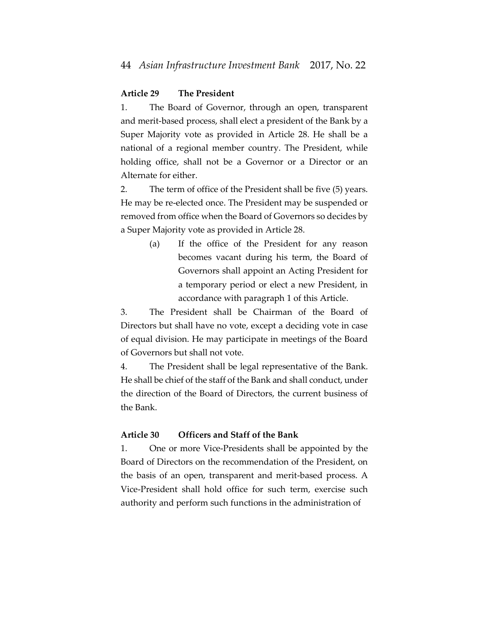### **Article 29 The President**

1. The Board of Governor, through an open, transparent and merit-based process, shall elect a president of the Bank by a Super Majority vote as provided in Article 28. He shall be a national of a regional member country. The President, while holding office, shall not be a Governor or a Director or an Alternate for either.

2. The term of office of the President shall be five (5) years. He may be re-elected once. The President may be suspended or removed from office when the Board of Governors so decides by a Super Majority vote as provided in Article 28.

> (a) If the office of the President for any reason becomes vacant during his term, the Board of Governors shall appoint an Acting President for a temporary period or elect a new President, in accordance with paragraph 1 of this Article.

3. The President shall be Chairman of the Board of Directors but shall have no vote, except a deciding vote in case of equal division. He may participate in meetings of the Board of Governors but shall not vote.

4. The President shall be legal representative of the Bank. He shall be chief of the staff of the Bank and shall conduct, under the direction of the Board of Directors, the current business of the Bank.

### **Article 30 Officers and Staff of the Bank**

1. One or more Vice-Presidents shall be appointed by the Board of Directors on the recommendation of the President, on the basis of an open, transparent and merit-based process. A Vice-President shall hold office for such term, exercise such authority and perform such functions in the administration of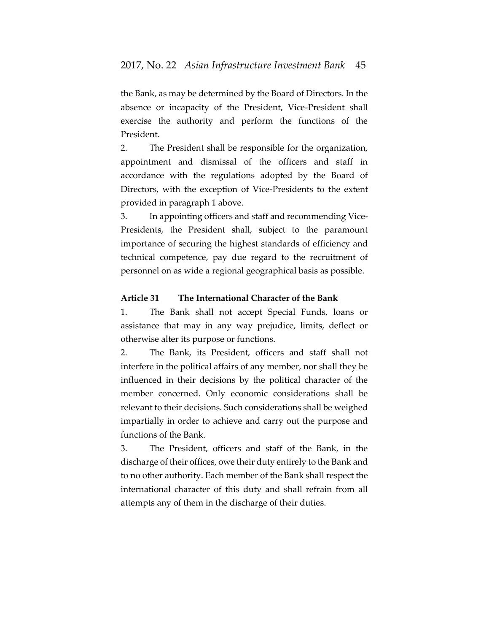the Bank, as may be determined by the Board of Directors. In the absence or incapacity of the President, Vice-President shall exercise the authority and perform the functions of the President.

2. The President shall be responsible for the organization, appointment and dismissal of the officers and staff in accordance with the regulations adopted by the Board of Directors, with the exception of Vice-Presidents to the extent provided in paragraph 1 above.

3. In appointing officers and staff and recommending Vice-Presidents, the President shall, subject to the paramount importance of securing the highest standards of efficiency and technical competence, pay due regard to the recruitment of personnel on as wide a regional geographical basis as possible.

### **Article 31 The International Character of the Bank**

1. The Bank shall not accept Special Funds, loans or assistance that may in any way prejudice, limits, deflect or otherwise alter its purpose or functions.

2. The Bank, its President, officers and staff shall not interfere in the political affairs of any member, nor shall they be influenced in their decisions by the political character of the member concerned. Only economic considerations shall be relevant to their decisions. Such considerations shall be weighed impartially in order to achieve and carry out the purpose and functions of the Bank.

3. The President, officers and staff of the Bank, in the discharge of their offices, owe their duty entirely to the Bank and to no other authority. Each member of the Bank shall respect the international character of this duty and shall refrain from all attempts any of them in the discharge of their duties.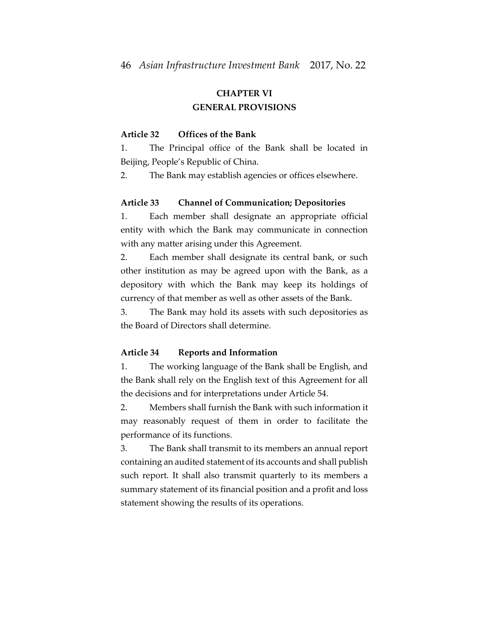# **CHAPTER VI GENERAL PROVISIONS**

#### **Article 32 Offices of the Bank**

1. The Principal office of the Bank shall be located in Beijing, People's Republic of China.

2. The Bank may establish agencies or offices elsewhere.

#### **Article 33 Channel of Communication; Depositories**

1. Each member shall designate an appropriate official entity with which the Bank may communicate in connection with any matter arising under this Agreement.

2. Each member shall designate its central bank, or such other institution as may be agreed upon with the Bank, as a depository with which the Bank may keep its holdings of currency of that member as well as other assets of the Bank.

3. The Bank may hold its assets with such depositories as the Board of Directors shall determine.

#### **Article 34 Reports and Information**

1. The working language of the Bank shall be English, and the Bank shall rely on the English text of this Agreement for all the decisions and for interpretations under Article 54.

2. Members shall furnish the Bank with such information it may reasonably request of them in order to facilitate the performance of its functions.

3. The Bank shall transmit to its members an annual report containing an audited statement of its accounts and shall publish such report. It shall also transmit quarterly to its members a summary statement of its financial position and a profit and loss statement showing the results of its operations.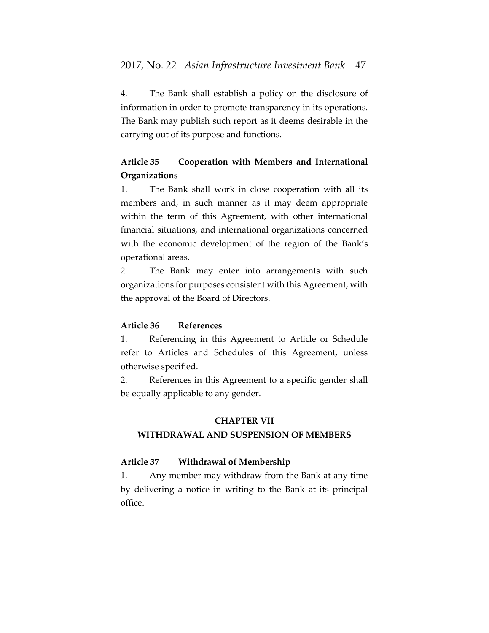4. The Bank shall establish a policy on the disclosure of information in order to promote transparency in its operations. The Bank may publish such report as it deems desirable in the carrying out of its purpose and functions.

# **Article 35 Cooperation with Members and International Organizations**

1. The Bank shall work in close cooperation with all its members and, in such manner as it may deem appropriate within the term of this Agreement, with other international financial situations, and international organizations concerned with the economic development of the region of the Bank's operational areas.

2. The Bank may enter into arrangements with such organizations for purposes consistent with this Agreement, with the approval of the Board of Directors.

# **Article 36 References**

1. Referencing in this Agreement to Article or Schedule refer to Articles and Schedules of this Agreement, unless otherwise specified.

2. References in this Agreement to a specific gender shall be equally applicable to any gender.

### **CHAPTER VII**

### **WITHDRAWAL AND SUSPENSION OF MEMBERS**

# **Article 37 Withdrawal of Membership**

1. Any member may withdraw from the Bank at any time by delivering a notice in writing to the Bank at its principal office.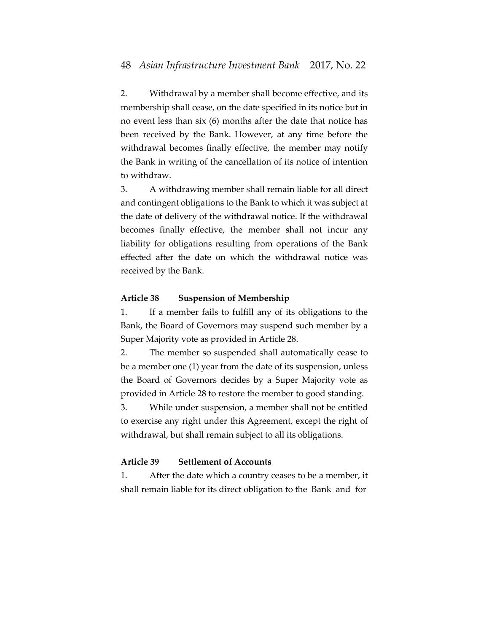2. Withdrawal by a member shall become effective, and its membership shall cease, on the date specified in its notice but in no event less than six (6) months after the date that notice has been received by the Bank. However, at any time before the withdrawal becomes finally effective, the member may notify the Bank in writing of the cancellation of its notice of intention to withdraw.

3. A withdrawing member shall remain liable for all direct and contingent obligations to the Bank to which it was subject at the date of delivery of the withdrawal notice. If the withdrawal becomes finally effective, the member shall not incur any liability for obligations resulting from operations of the Bank effected after the date on which the withdrawal notice was received by the Bank.

## **Article 38 Suspension of Membership**

1. If a member fails to fulfill any of its obligations to the Bank, the Board of Governors may suspend such member by a Super Majority vote as provided in Article 28.

2. The member so suspended shall automatically cease to be a member one (1) year from the date of its suspension, unless the Board of Governors decides by a Super Majority vote as provided in Article 28 to restore the member to good standing.

3. While under suspension, a member shall not be entitled to exercise any right under this Agreement, except the right of withdrawal, but shall remain subject to all its obligations.

# **Article 39 Settlement of Accounts**

1. After the date which a country ceases to be a member, it shall remain liable for its direct obligation to the Bank and for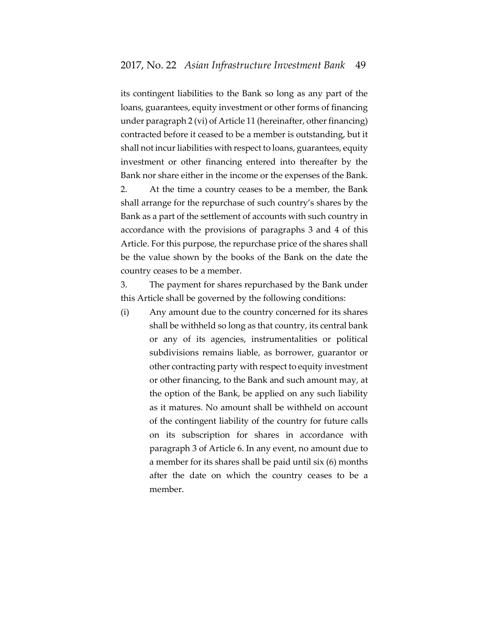its contingent liabilities to the Bank so long as any part of the loans, guarantees, equity investment or other forms of financing under paragraph 2 (vi) of Article 11 (hereinafter, other financing) contracted before it ceased to be a member is outstanding, but it shall not incur liabilities with respect to loans, guarantees, equity investment or other financing entered into thereafter by the Bank nor share either in the income or the expenses of the Bank. 2. At the time a country ceases to be a member, the Bank shall arrange for the repurchase of such country's shares by the Bank as a part of the settlement of accounts with such country in accordance with the provisions of paragraphs 3 and 4 of this Article. For this purpose, the repurchase price of the shares shall be the value shown by the books of the Bank on the date the country ceases to be a member.

3. The payment for shares repurchased by the Bank under this Article shall be governed by the following conditions:

(i) Any amount due to the country concerned for its shares shall be withheld so long as that country, its central bank or any of its agencies, instrumentalities or political subdivisions remains liable, as borrower, guarantor or other contracting party with respect to equity investment or other financing, to the Bank and such amount may, at the option of the Bank, be applied on any such liability as it matures. No amount shall be withheld on account of the contingent liability of the country for future calls on its subscription for shares in accordance with paragraph 3 of Article 6. In any event, no amount due to a member for its shares shall be paid until six (6) months after the date on which the country ceases to be a member.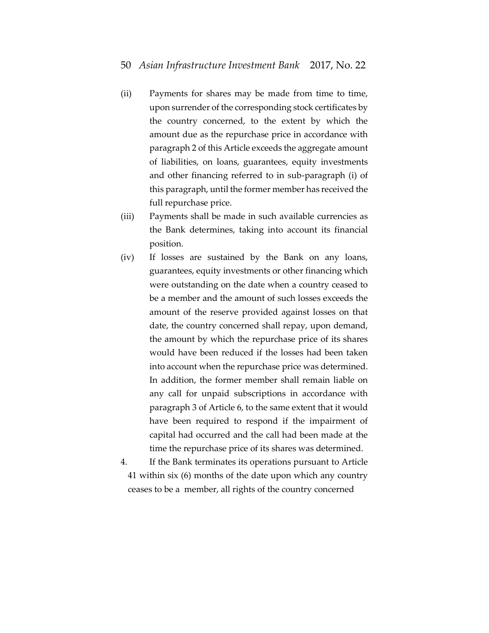- (ii) Payments for shares may be made from time to time, upon surrender of the corresponding stock certificates by the country concerned, to the extent by which the amount due as the repurchase price in accordance with paragraph 2 of this Article exceeds the aggregate amount of liabilities, on loans, guarantees, equity investments and other financing referred to in sub-paragraph (i) of this paragraph, until the former member has received the full repurchase price.
- (iii) Payments shall be made in such available currencies as the Bank determines, taking into account its financial position.
- (iv) If losses are sustained by the Bank on any loans, guarantees, equity investments or other financing which were outstanding on the date when a country ceased to be a member and the amount of such losses exceeds the amount of the reserve provided against losses on that date, the country concerned shall repay, upon demand, the amount by which the repurchase price of its shares would have been reduced if the losses had been taken into account when the repurchase price was determined. In addition, the former member shall remain liable on any call for unpaid subscriptions in accordance with paragraph 3 of Article 6, to the same extent that it would have been required to respond if the impairment of capital had occurred and the call had been made at the time the repurchase price of its shares was determined.
- 4. If the Bank terminates its operations pursuant to Article 41 within six (6) months of the date upon which any country ceases to be a member, all rights of the country concerned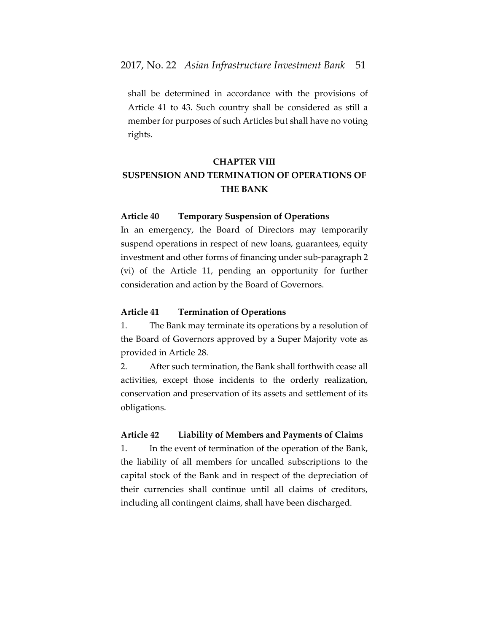shall be determined in accordance with the provisions of Article 41 to 43. Such country shall be considered as still a member for purposes of such Articles but shall have no voting rights.

# **CHAPTER VIII**

# **SUSPENSION AND TERMINATION OF OPERATIONS OF THE BANK**

#### **Article 40 Temporary Suspension of Operations**

In an emergency, the Board of Directors may temporarily suspend operations in respect of new loans, guarantees, equity investment and other forms of financing under sub-paragraph 2 (vi) of the Article 11, pending an opportunity for further consideration and action by the Board of Governors.

## **Article 41 Termination of Operations**

1. The Bank may terminate its operations by a resolution of the Board of Governors approved by a Super Majority vote as provided in Article 28.

2. After such termination, the Bank shall forthwith cease all activities, except those incidents to the orderly realization, conservation and preservation of its assets and settlement of its obligations.

# **Article 42 Liability of Members and Payments of Claims**

1. In the event of termination of the operation of the Bank, the liability of all members for uncalled subscriptions to the capital stock of the Bank and in respect of the depreciation of their currencies shall continue until all claims of creditors, including all contingent claims, shall have been discharged.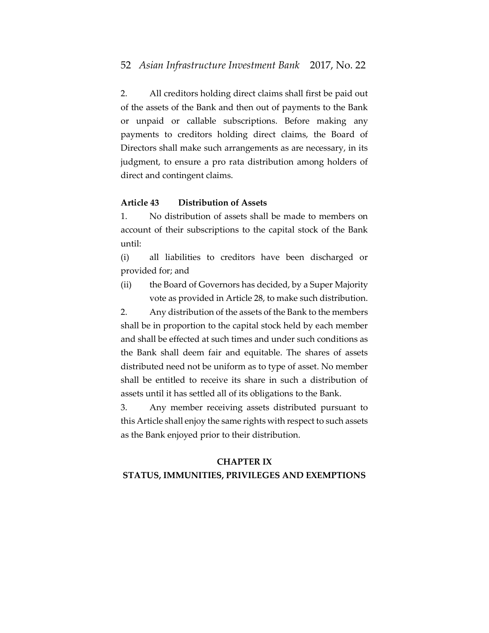2. All creditors holding direct claims shall first be paid out of the assets of the Bank and then out of payments to the Bank or unpaid or callable subscriptions. Before making any payments to creditors holding direct claims, the Board of Directors shall make such arrangements as are necessary, in its judgment, to ensure a pro rata distribution among holders of direct and contingent claims.

### **Article 43 Distribution of Assets**

1. No distribution of assets shall be made to members on account of their subscriptions to the capital stock of the Bank until:

(i) all liabilities to creditors have been discharged or provided for; and

(ii) the Board of Governors has decided, by a Super Majority vote as provided in Article 28, to make such distribution.

2. Any distribution of the assets of the Bank to the members shall be in proportion to the capital stock held by each member and shall be effected at such times and under such conditions as the Bank shall deem fair and equitable. The shares of assets distributed need not be uniform as to type of asset. No member shall be entitled to receive its share in such a distribution of assets until it has settled all of its obligations to the Bank.

3. Any member receiving assets distributed pursuant to this Article shall enjoy the same rights with respect to such assets as the Bank enjoyed prior to their distribution.

# **CHAPTER IX**

### **STATUS, IMMUNITIES, PRIVILEGES AND EXEMPTIONS**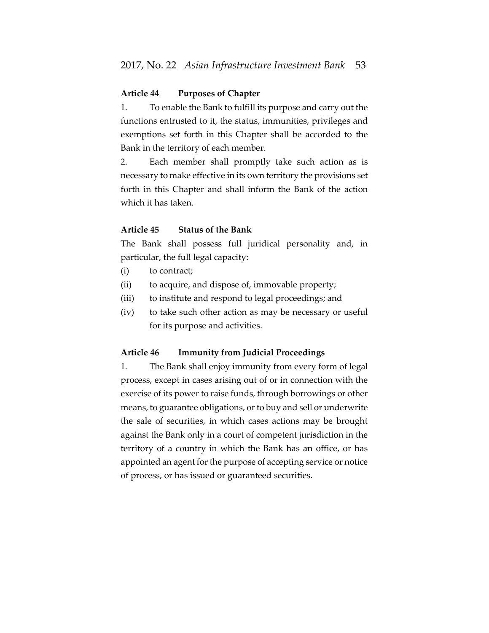## **Article 44 Purposes of Chapter**

1. To enable the Bank to fulfill its purpose and carry out the functions entrusted to it, the status, immunities, privileges and exemptions set forth in this Chapter shall be accorded to the Bank in the territory of each member.

2. Each member shall promptly take such action as is necessary to make effective in its own territory the provisions set forth in this Chapter and shall inform the Bank of the action which it has taken.

#### **Article 45 Status of the Bank**

The Bank shall possess full juridical personality and, in particular, the full legal capacity:

- (i) to contract;
- (ii) to acquire, and dispose of, immovable property;
- (iii) to institute and respond to legal proceedings; and
- (iv) to take such other action as may be necessary or useful for its purpose and activities.

#### **Article 46 Immunity from Judicial Proceedings**

1. The Bank shall enjoy immunity from every form of legal process, except in cases arising out of or in connection with the exercise of its power to raise funds, through borrowings or other means, to guarantee obligations, or to buy and sell or underwrite the sale of securities, in which cases actions may be brought against the Bank only in a court of competent jurisdiction in the territory of a country in which the Bank has an office, or has appointed an agent for the purpose of accepting service or notice of process, or has issued or guaranteed securities.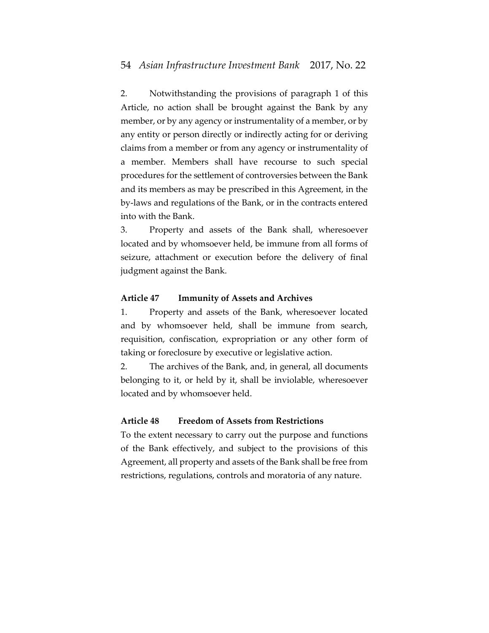2. Notwithstanding the provisions of paragraph 1 of this Article, no action shall be brought against the Bank by any member, or by any agency or instrumentality of a member, or by any entity or person directly or indirectly acting for or deriving claims from a member or from any agency or instrumentality of a member. Members shall have recourse to such special procedures for the settlement of controversies between the Bank and its members as may be prescribed in this Agreement, in the by-laws and regulations of the Bank, or in the contracts entered into with the Bank.

3. Property and assets of the Bank shall, wheresoever located and by whomsoever held, be immune from all forms of seizure, attachment or execution before the delivery of final judgment against the Bank.

#### **Article 47 Immunity of Assets and Archives**

1. Property and assets of the Bank, wheresoever located and by whomsoever held, shall be immune from search, requisition, confiscation, expropriation or any other form of taking or foreclosure by executive or legislative action.

2. The archives of the Bank, and, in general, all documents belonging to it, or held by it, shall be inviolable, wheresoever located and by whomsoever held.

#### **Article 48 Freedom of Assets from Restrictions**

To the extent necessary to carry out the purpose and functions of the Bank effectively, and subject to the provisions of this Agreement, all property and assets of the Bank shall be free from restrictions, regulations, controls and moratoria of any nature.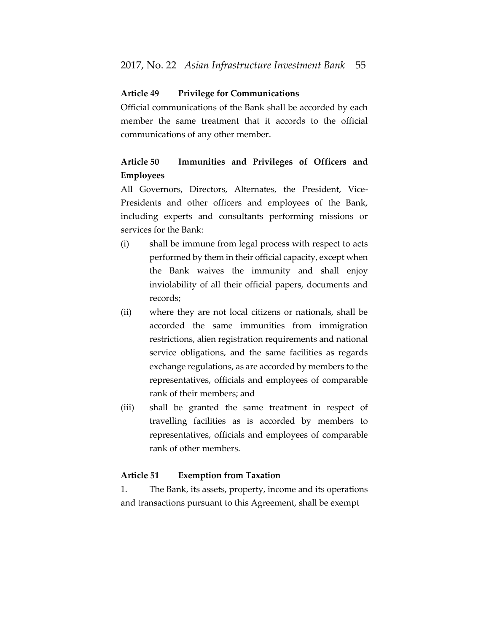### **Article 49 Privilege for Communications**

Official communications of the Bank shall be accorded by each member the same treatment that it accords to the official communications of any other member.

# **Article 50 Immunities and Privileges of Officers and Employees**

All Governors, Directors, Alternates, the President, Vice-Presidents and other officers and employees of the Bank, including experts and consultants performing missions or services for the Bank:

- (i) shall be immune from legal process with respect to acts performed by them in their official capacity, except when the Bank waives the immunity and shall enjoy inviolability of all their official papers, documents and records;
- (ii) where they are not local citizens or nationals, shall be accorded the same immunities from immigration restrictions, alien registration requirements and national service obligations, and the same facilities as regards exchange regulations, as are accorded by members to the representatives, officials and employees of comparable rank of their members; and
- (iii) shall be granted the same treatment in respect of travelling facilities as is accorded by members to representatives, officials and employees of comparable rank of other members.

## **Article 51 Exemption from Taxation**

1. The Bank, its assets, property, income and its operations and transactions pursuant to this Agreement, shall be exempt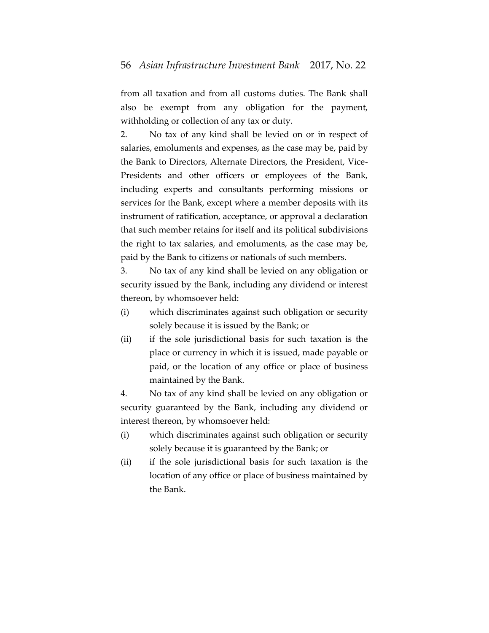from all taxation and from all customs duties. The Bank shall also be exempt from any obligation for the payment, withholding or collection of any tax or duty.

2. No tax of any kind shall be levied on or in respect of salaries, emoluments and expenses, as the case may be, paid by the Bank to Directors, Alternate Directors, the President, Vice-Presidents and other officers or employees of the Bank, including experts and consultants performing missions or services for the Bank, except where a member deposits with its instrument of ratification, acceptance, or approval a declaration that such member retains for itself and its political subdivisions the right to tax salaries, and emoluments, as the case may be, paid by the Bank to citizens or nationals of such members.

3. No tax of any kind shall be levied on any obligation or security issued by the Bank, including any dividend or interest thereon, by whomsoever held:

- (i) which discriminates against such obligation or security solely because it is issued by the Bank; or
- (ii) if the sole jurisdictional basis for such taxation is the place or currency in which it is issued, made payable or paid, or the location of any office or place of business maintained by the Bank.

4. No tax of any kind shall be levied on any obligation or security guaranteed by the Bank, including any dividend or interest thereon, by whomsoever held:

- (i) which discriminates against such obligation or security solely because it is guaranteed by the Bank; or
- (ii) if the sole jurisdictional basis for such taxation is the location of any office or place of business maintained by the Bank.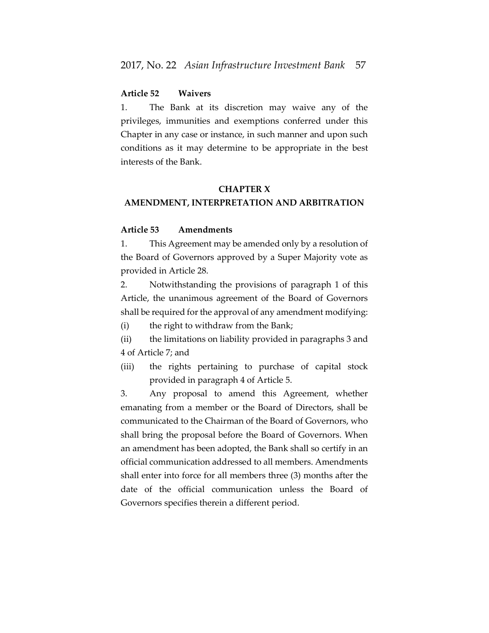# **Article 52 Waivers**

1. The Bank at its discretion may waive any of the privileges, immunities and exemptions conferred under this Chapter in any case or instance, in such manner and upon such conditions as it may determine to be appropriate in the best interests of the Bank.

### **CHAPTER X**

### **AMENDMENT, INTERPRETATION AND ARBITRATION**

#### **Article 53 Amendments**

1. This Agreement may be amended only by a resolution of the Board of Governors approved by a Super Majority vote as provided in Article 28.

2. Notwithstanding the provisions of paragraph 1 of this Article, the unanimous agreement of the Board of Governors shall be required for the approval of any amendment modifying:

(i) the right to withdraw from the Bank;

(ii) the limitations on liability provided in paragraphs 3 and 4 of Article 7; and

(iii) the rights pertaining to purchase of capital stock provided in paragraph 4 of Article 5.

3. Any proposal to amend this Agreement, whether emanating from a member or the Board of Directors, shall be communicated to the Chairman of the Board of Governors, who shall bring the proposal before the Board of Governors. When an amendment has been adopted, the Bank shall so certify in an official communication addressed to all members. Amendments shall enter into force for all members three (3) months after the date of the official communication unless the Board of Governors specifies therein a different period.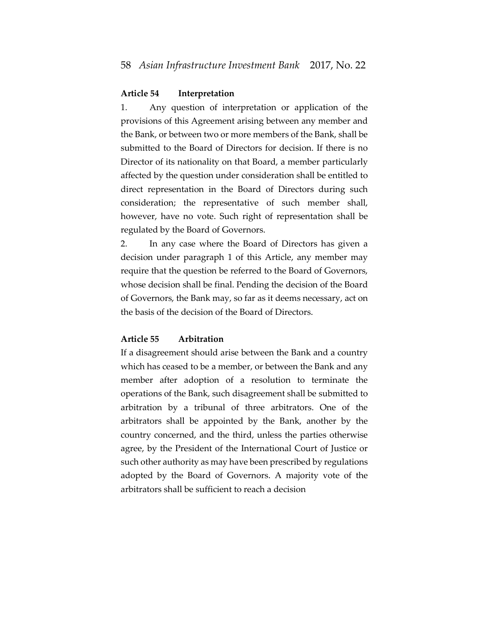### **Article 54 Interpretation**

1. Any question of interpretation or application of the provisions of this Agreement arising between any member and the Bank, or between two or more members of the Bank, shall be submitted to the Board of Directors for decision. If there is no Director of its nationality on that Board, a member particularly affected by the question under consideration shall be entitled to direct representation in the Board of Directors during such consideration; the representative of such member shall, however, have no vote. Such right of representation shall be regulated by the Board of Governors.

2. In any case where the Board of Directors has given a decision under paragraph 1 of this Article, any member may require that the question be referred to the Board of Governors, whose decision shall be final. Pending the decision of the Board of Governors, the Bank may, so far as it deems necessary, act on the basis of the decision of the Board of Directors.

#### **Article 55 Arbitration**

If a disagreement should arise between the Bank and a country which has ceased to be a member, or between the Bank and any member after adoption of a resolution to terminate the operations of the Bank, such disagreement shall be submitted to arbitration by a tribunal of three arbitrators. One of the arbitrators shall be appointed by the Bank, another by the country concerned, and the third, unless the parties otherwise agree, by the President of the International Court of Justice or such other authority as may have been prescribed by regulations adopted by the Board of Governors. A majority vote of the arbitrators shall be sufficient to reach a decision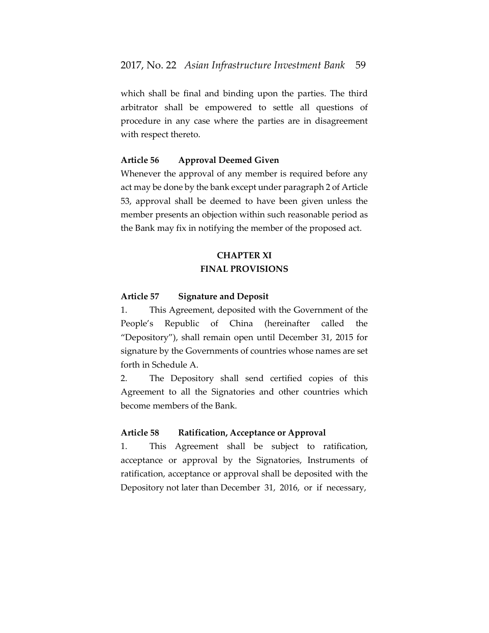which shall be final and binding upon the parties. The third arbitrator shall be empowered to settle all questions of procedure in any case where the parties are in disagreement with respect thereto.

#### **Article 56 Approval Deemed Given**

Whenever the approval of any member is required before any act may be done by the bank except under paragraph 2 of Article 53, approval shall be deemed to have been given unless the member presents an objection within such reasonable period as the Bank may fix in notifying the member of the proposed act.

# **CHAPTER XI FINAL PROVISIONS**

### **Article 57 Signature and Deposit**

1. This Agreement, deposited with the Government of the People's Republic of China (hereinafter called the "Depository"), shall remain open until December 31, 2015 for signature by the Governments of countries whose names are set forth in Schedule A.

2. The Depository shall send certified copies of this Agreement to all the Signatories and other countries which become members of the Bank.

### **Article 58 Ratification, Acceptance or Approval**

1. This Agreement shall be subject to ratification, acceptance or approval by the Signatories, Instruments of ratification, acceptance or approval shall be deposited with the Depository not later than December 31, 2016, or if necessary,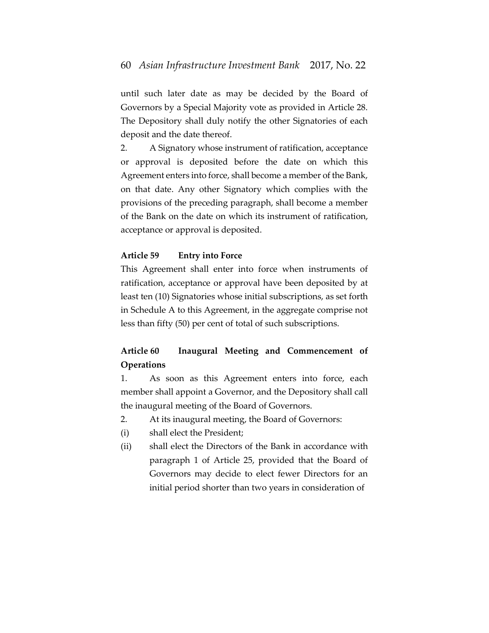until such later date as may be decided by the Board of Governors by a Special Majority vote as provided in Article 28. The Depository shall duly notify the other Signatories of each deposit and the date thereof.

2. A Signatory whose instrument of ratification, acceptance or approval is deposited before the date on which this Agreement enters into force, shall become a member of the Bank, on that date. Any other Signatory which complies with the provisions of the preceding paragraph, shall become a member of the Bank on the date on which its instrument of ratification, acceptance or approval is deposited.

#### **Article 59 Entry into Force**

This Agreement shall enter into force when instruments of ratification, acceptance or approval have been deposited by at least ten (10) Signatories whose initial subscriptions, as set forth in Schedule A to this Agreement, in the aggregate comprise not less than fifty (50) per cent of total of such subscriptions.

# **Article 60 Inaugural Meeting and Commencement of Operations**

1. As soon as this Agreement enters into force, each member shall appoint a Governor, and the Depository shall call the inaugural meeting of the Board of Governors.

- 2. At its inaugural meeting, the Board of Governors:
- (i) shall elect the President;
- (ii) shall elect the Directors of the Bank in accordance with paragraph 1 of Article 25, provided that the Board of Governors may decide to elect fewer Directors for an initial period shorter than two years in consideration of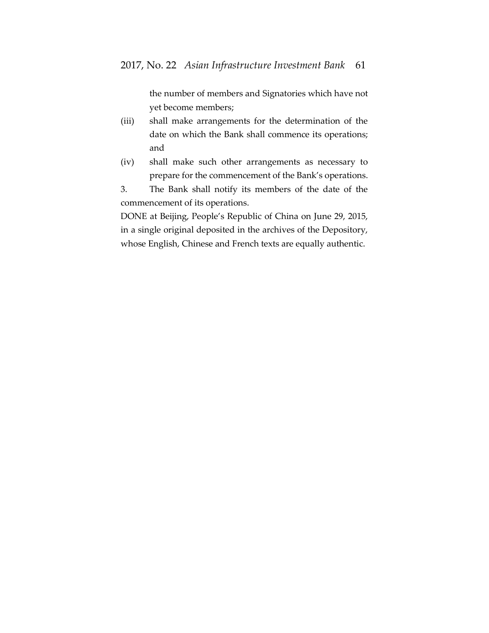the number of members and Signatories which have not yet become members;

- (iii) shall make arrangements for the determination of the date on which the Bank shall commence its operations; and
- (iv) shall make such other arrangements as necessary to prepare for the commencement of the Bank's operations.
- 3. The Bank shall notify its members of the date of the commencement of its operations.

DONE at Beijing, People's Republic of China on June 29, 2015, in a single original deposited in the archives of the Depository, whose English, Chinese and French texts are equally authentic.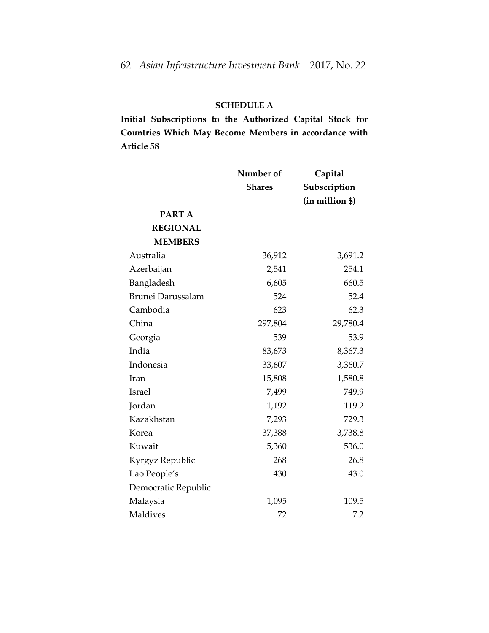# **SCHEDULE A**

**Initial Subscriptions to the Authorized Capital Stock for Countries Which May Become Members in accordance with Article 58**

|                          | Number of     | Capital         |
|--------------------------|---------------|-----------------|
|                          | <b>Shares</b> | Subscription    |
|                          |               | (in million \$) |
| PART A                   |               |                 |
| <b>REGIONAL</b>          |               |                 |
| <b>MEMBERS</b>           |               |                 |
| Australia                | 36,912        | 3,691.2         |
| Azerbaijan               | 2,541         | 254.1           |
| Bangladesh               | 6,605         | 660.5           |
| <b>Brunei Darussalam</b> | 524           | 52.4            |
| Cambodia                 | 623           | 62.3            |
| China                    | 297,804       | 29,780.4        |
| Georgia                  | 539           | 53.9            |
| India                    | 83,673        | 8,367.3         |
| Indonesia                | 33,607        | 3,360.7         |
| Iran                     | 15,808        | 1,580.8         |
| <b>Israel</b>            | 7,499         | 749.9           |
| Jordan                   | 1,192         | 119.2           |
| Kazakhstan               | 7,293         | 729.3           |
| Korea                    | 37,388        | 3,738.8         |
| Kuwait                   | 5,360         | 536.0           |
| Kyrgyz Republic          | 268           | 26.8            |
| Lao People's             | 430           | 43.0            |
| Democratic Republic      |               |                 |
| Malaysia                 | 1,095         | 109.5           |
| <b>Maldives</b>          | 72            | 7.2             |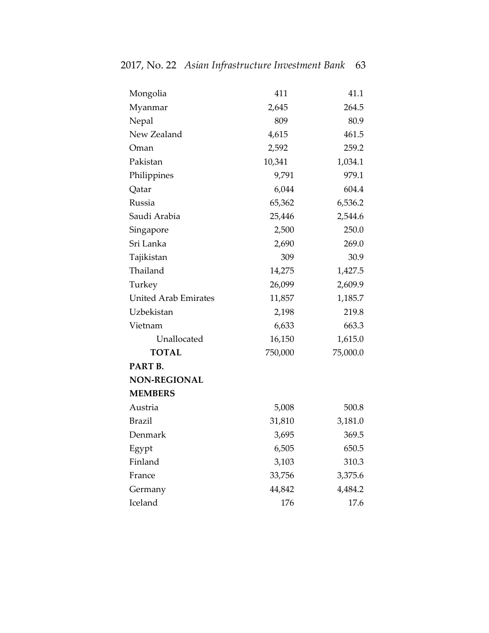| Mongolia                    | 411     | 41.1     |
|-----------------------------|---------|----------|
| Myanmar                     | 2,645   | 264.5    |
| Nepal                       | 809     | 80.9     |
| New Zealand                 | 4,615   | 461.5    |
| Oman                        | 2,592   | 259.2    |
| Pakistan                    | 10,341  | 1,034.1  |
| Philippines                 | 9,791   | 979.1    |
| Qatar                       | 6,044   | 604.4    |
| Russia                      | 65,362  | 6,536.2  |
| Saudi Arabia                | 25,446  | 2,544.6  |
| Singapore                   | 2,500   | 250.0    |
| Sri Lanka                   | 2,690   | 269.0    |
| Tajikistan                  | 309     | 30.9     |
| Thailand                    | 14,275  | 1,427.5  |
| Turkey                      | 26,099  | 2,609.9  |
| <b>United Arab Emirates</b> | 11,857  | 1,185.7  |
| Uzbekistan                  | 2,198   | 219.8    |
| Vietnam                     | 6,633   | 663.3    |
| Unallocated                 | 16,150  | 1,615.0  |
| <b>TOTAL</b>                | 750,000 | 75,000.0 |
| PART B.                     |         |          |
| <b>NON-REGIONAL</b>         |         |          |
| <b>MEMBERS</b>              |         |          |
| Austria                     | 5,008   | 500.8    |
| <b>Brazil</b>               | 31,810  | 3,181.0  |
| Denmark                     | 3,695   | 369.5    |
| Egypt                       | 6,505   | 650.5    |
| Finland                     | 3,103   | 310.3    |
| France                      | 33,756  | 3,375.6  |
| Germany                     | 44,842  | 4,484.2  |
| Iceland                     | 176     | 17.6     |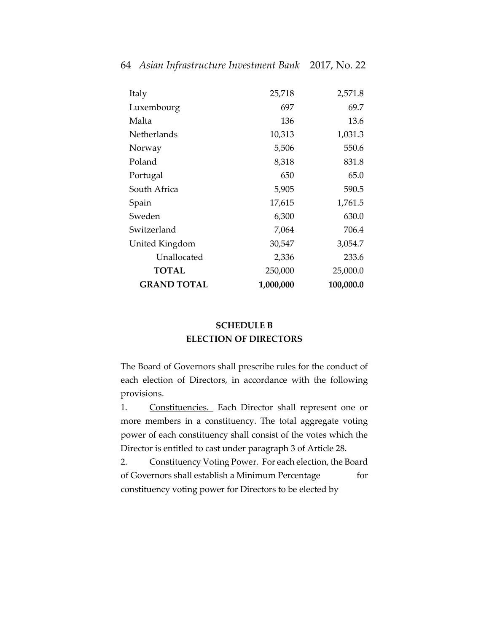| Italy              | 25,718    | 2,571.8   |
|--------------------|-----------|-----------|
| Luxembourg         | 697       | 69.7      |
| Malta              | 136       | 13.6      |
| Netherlands        | 10,313    | 1,031.3   |
| Norway             | 5,506     | 550.6     |
| Poland             | 8,318     | 831.8     |
| Portugal           | 650       | 65.0      |
| South Africa       | 5,905     | 590.5     |
| Spain              | 17,615    | 1,761.5   |
| Sweden             | 6,300     | 630.0     |
| Switzerland        | 7,064     | 706.4     |
| United Kingdom     | 30,547    | 3,054.7   |
| Unallocated        | 2,336     | 233.6     |
| <b>TOTAL</b>       | 250,000   | 25,000.0  |
| <b>GRAND TOTAL</b> | 1,000,000 | 100,000.0 |

# **SCHEDULE B ELECTION OF DIRECTORS**

The Board of Governors shall prescribe rules for the conduct of each election of Directors, in accordance with the following provisions.

1. Constituencies. Each Director shall represent one or more members in a constituency. The total aggregate voting power of each constituency shall consist of the votes which the Director is entitled to cast under paragraph 3 of Article 28.

2. Constituency Voting Power. For each election, the Board of Governors shall establish a Minimum Percentage for constituency voting power for Directors to be elected by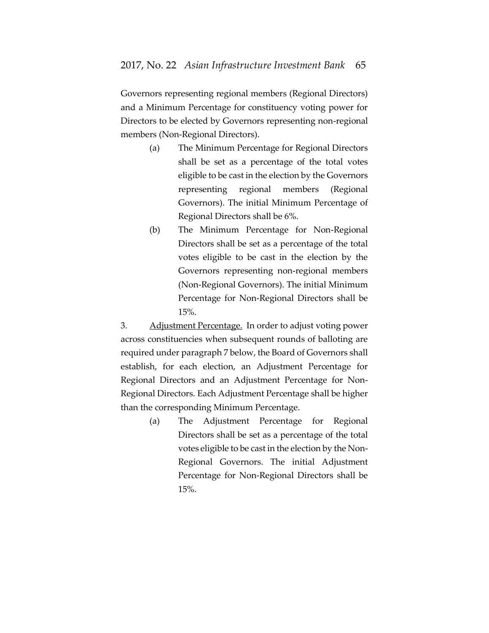Governors representing regional members (Regional Directors) and a Minimum Percentage for constituency voting power for Directors to be elected by Governors representing non-regional members (Non-Regional Directors).

- (a) The Minimum Percentage for Regional Directors shall be set as a percentage of the total votes eligible to be cast in the election by the Governors representing regional members (Regional Governors). The initial Minimum Percentage of Regional Directors shall be 6%.
- (b) The Minimum Percentage for Non-Regional Directors shall be set as a percentage of the total votes eligible to be cast in the election by the Governors representing non-regional members (Non-Regional Governors). The initial Minimum Percentage for Non-Regional Directors shall be 15%.

3. Adjustment Percentage. In order to adjust voting power across constituencies when subsequent rounds of balloting are required under paragraph 7 below, the Board of Governors shall establish, for each election, an Adjustment Percentage for Regional Directors and an Adjustment Percentage for Non-Regional Directors. Each Adjustment Percentage shall be higher than the corresponding Minimum Percentage.

> (a) The Adjustment Percentage for Regional Directors shall be set as a percentage of the total votes eligible to be cast in the election by the Non-Regional Governors. The initial Adjustment Percentage for Non-Regional Directors shall be 15%.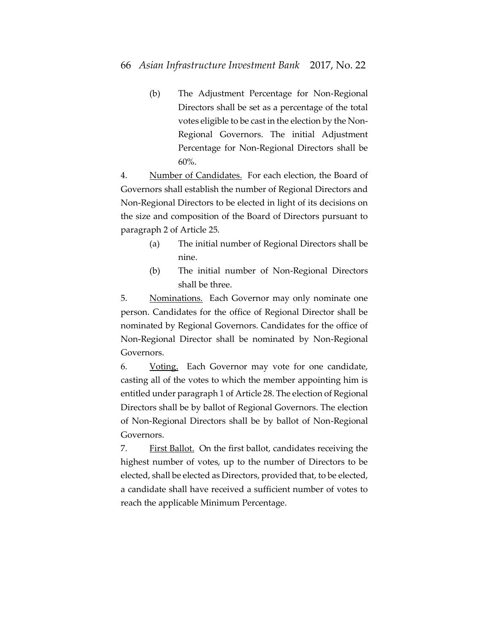(b) The Adjustment Percentage for Non-Regional Directors shall be set as a percentage of the total votes eligible to be cast in the election by the Non-Regional Governors. The initial Adjustment Percentage for Non-Regional Directors shall be 60%.

4. Number of Candidates. For each election, the Board of Governors shall establish the number of Regional Directors and Non-Regional Directors to be elected in light of its decisions on the size and composition of the Board of Directors pursuant to paragraph 2 of Article 25.

- (a) The initial number of Regional Directors shall be nine.
- (b) The initial number of Non-Regional Directors shall be three.

5. Nominations. Each Governor may only nominate one person. Candidates for the office of Regional Director shall be nominated by Regional Governors. Candidates for the office of Non-Regional Director shall be nominated by Non-Regional Governors.

6. Voting. Each Governor may vote for one candidate, casting all of the votes to which the member appointing him is entitled under paragraph 1 of Article 28. The election of Regional Directors shall be by ballot of Regional Governors. The election of Non-Regional Directors shall be by ballot of Non-Regional Governors.

7. First Ballot. On the first ballot, candidates receiving the highest number of votes, up to the number of Directors to be elected, shall be elected as Directors, provided that, to be elected, a candidate shall have received a sufficient number of votes to reach the applicable Minimum Percentage.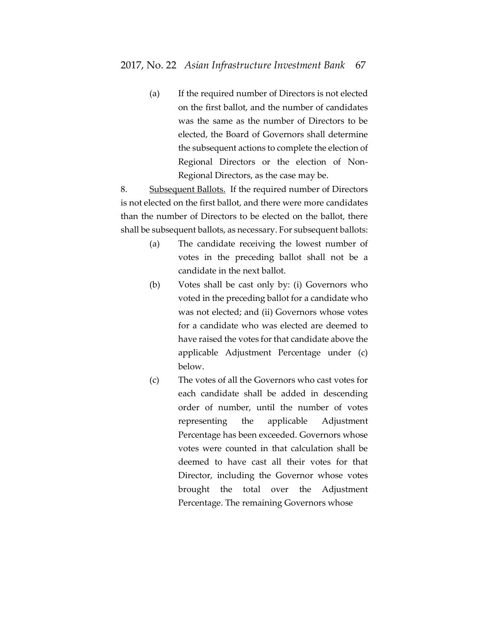(a) If the required number of Directors is not elected on the first ballot, and the number of candidates was the same as the number of Directors to be elected, the Board of Governors shall determine the subsequent actions to complete the election of Regional Directors or the election of Non-Regional Directors, as the case may be.

8. Subsequent Ballots. If the required number of Directors is not elected on the first ballot, and there were more candidates than the number of Directors to be elected on the ballot, there shall be subsequent ballots, as necessary. For subsequent ballots:

- (a) The candidate receiving the lowest number of votes in the preceding ballot shall not be a candidate in the next ballot.
- (b) Votes shall be cast only by: (i) Governors who voted in the preceding ballot for a candidate who was not elected; and (ii) Governors whose votes for a candidate who was elected are deemed to have raised the votes for that candidate above the applicable Adjustment Percentage under (c) below.
- (c) The votes of all the Governors who cast votes for each candidate shall be added in descending order of number, until the number of votes representing the applicable Adjustment Percentage has been exceeded. Governors whose votes were counted in that calculation shall be deemed to have cast all their votes for that Director, including the Governor whose votes brought the total over the Adjustment Percentage. The remaining Governors whose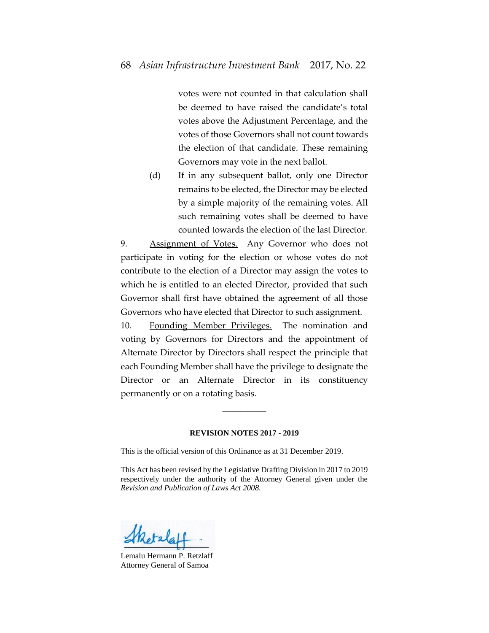votes were not counted in that calculation shall be deemed to have raised the candidate's total votes above the Adjustment Percentage, and the votes of those Governors shall not count towards the election of that candidate. These remaining Governors may vote in the next ballot.

(d) If in any subsequent ballot, only one Director remains to be elected, the Director may be elected by a simple majority of the remaining votes. All such remaining votes shall be deemed to have counted towards the election of the last Director.

9. Assignment of Votes. Any Governor who does not participate in voting for the election or whose votes do not contribute to the election of a Director may assign the votes to which he is entitled to an elected Director, provided that such Governor shall first have obtained the agreement of all those Governors who have elected that Director to such assignment.

10. Founding Member Privileges. The nomination and voting by Governors for Directors and the appointment of Alternate Director by Directors shall respect the principle that each Founding Member shall have the privilege to designate the Director or an Alternate Director in its constituency permanently or on a rotating basis.

#### **REVISION NOTES 2017 - 2019**

\_\_\_\_\_\_\_\_\_\_

This is the official version of this Ordinance as at 31 December 2019.

This Act has been revised by the Legislative Drafting Division in 2017 to 2019 respectively under the authority of the Attorney General given under the *Revision and Publication of Laws Act 2008.* 

Lemalu Hermann P. Retzlaff Attorney General of Samoa